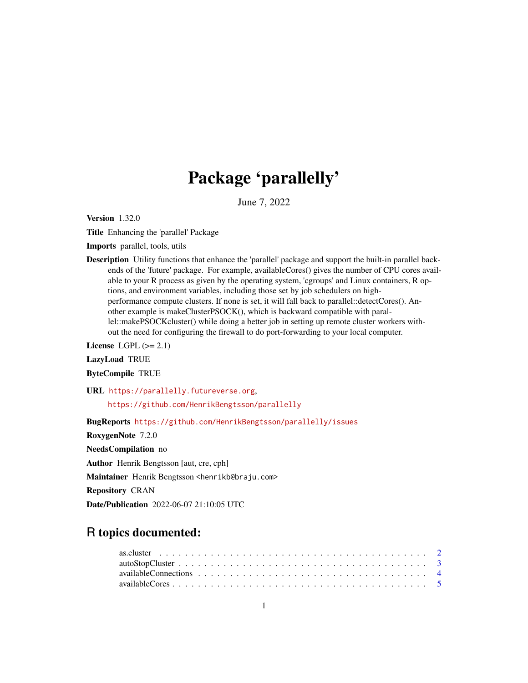# Package 'parallelly'

June 7, 2022

<span id="page-0-0"></span>Version 1.32.0

Title Enhancing the 'parallel' Package

Imports parallel, tools, utils

Description Utility functions that enhance the 'parallel' package and support the built-in parallel backends of the 'future' package. For example, availableCores() gives the number of CPU cores available to your R process as given by the operating system, 'cgroups' and Linux containers, R options, and environment variables, including those set by job schedulers on highperformance compute clusters. If none is set, it will fall back to parallel::detectCores(). Another example is makeClusterPSOCK(), which is backward compatible with parallel::makePSOCKcluster() while doing a better job in setting up remote cluster workers without the need for configuring the firewall to do port-forwarding to your local computer.

License LGPL  $(>= 2.1)$ 

LazyLoad TRUE

ByteCompile TRUE

URL <https://parallelly.futureverse.org>,

<https://github.com/HenrikBengtsson/parallelly>

BugReports <https://github.com/HenrikBengtsson/parallelly/issues>

RoxygenNote 7.2.0

NeedsCompilation no

Author Henrik Bengtsson [aut, cre, cph]

Maintainer Henrik Bengtsson <henrikb@braju.com>

Repository CRAN

Date/Publication 2022-06-07 21:10:05 UTC

# R topics documented: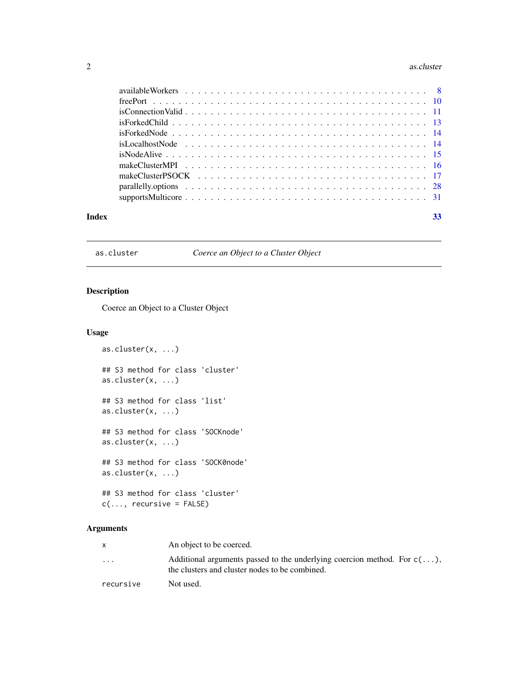#### <span id="page-1-0"></span>2 as.cluster and  $\alpha$  as.cluster and  $\alpha$  as.cluster

|       | is Connection Valid $\ldots \ldots \ldots \ldots \ldots \ldots \ldots \ldots \ldots \ldots \ldots \ldots \ldots$ |  |
|-------|------------------------------------------------------------------------------------------------------------------|--|
|       |                                                                                                                  |  |
|       |                                                                                                                  |  |
|       |                                                                                                                  |  |
|       |                                                                                                                  |  |
|       |                                                                                                                  |  |
|       |                                                                                                                  |  |
|       |                                                                                                                  |  |
|       |                                                                                                                  |  |
| Index | 33                                                                                                               |  |

# as.cluster *Coerce an Object to a Cluster Object*

# Description

Coerce an Object to a Cluster Object

# Usage

```
as.cluster(x, ...)
## S3 method for class 'cluster'
as.cluster(x, ...)
## S3 method for class 'list'
as.cluster(x, ...)
## S3 method for class 'SOCKnode'
as.cluster(x, ...)
## S3 method for class 'SOCK0node'
as.cluster(x, \ldots)## S3 method for class 'cluster'
c(\ldots, recursive = FALSE)
```
# Arguments

|                         | An object to be coerced.                                                                                                           |
|-------------------------|------------------------------------------------------------------------------------------------------------------------------------|
| $\cdot$ $\cdot$ $\cdot$ | Additional arguments passed to the underlying coercion method. For $c(\ldots)$ ,<br>the clusters and cluster nodes to be combined. |
| recursive               | Not used.                                                                                                                          |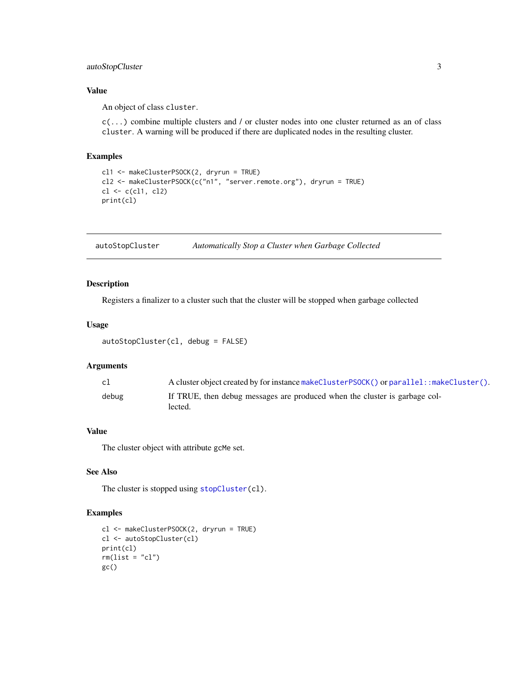# <span id="page-2-0"></span>autoStopCluster 3

# Value

An object of class cluster.

c(...) combine multiple clusters and / or cluster nodes into one cluster returned as an of class cluster. A warning will be produced if there are duplicated nodes in the resulting cluster.

# Examples

```
cl1 <- makeClusterPSOCK(2, dryrun = TRUE)
cl2 <- makeClusterPSOCK(c("n1", "server.remote.org"), dryrun = TRUE)
cl \leftarrow c(cl1, cl2)print(cl)
```
<span id="page-2-1"></span>autoStopCluster *Automatically Stop a Cluster when Garbage Collected*

# Description

Registers a finalizer to a cluster such that the cluster will be stopped when garbage collected

# Usage

```
autoStopCluster(cl, debug = FALSE)
```
# Arguments

| c1    | A cluster object created by for instance make Cluster PSOCK() or parallel: : make Cluster(). |
|-------|----------------------------------------------------------------------------------------------|
| debug | If TRUE, then debug messages are produced when the cluster is garbage col-                   |
|       | lected.                                                                                      |

# Value

The cluster object with attribute gcMe set.

# See Also

The cluster is stopped using [stopCluster\(](#page-0-0)cl).

# Examples

```
cl <- makeClusterPSOCK(2, dryrun = TRUE)
cl <- autoStopCluster(cl)
print(cl)
rm(list = "cl")gc()
```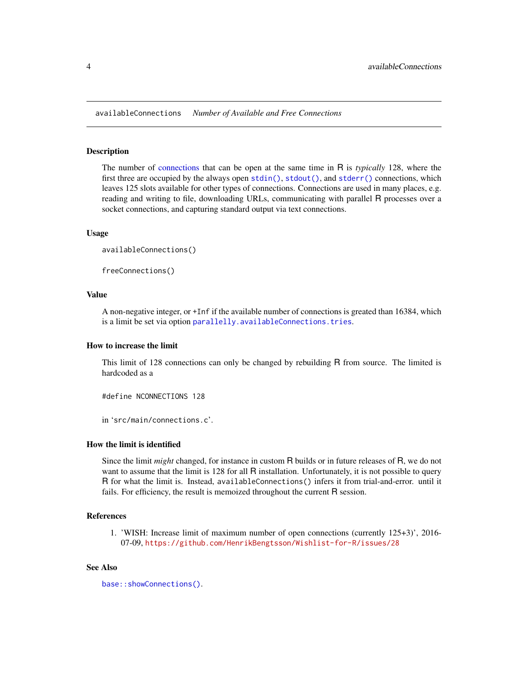<span id="page-3-0"></span>availableConnections *Number of Available and Free Connections*

# Description

The number of [connections](#page-0-0) that can be open at the same time in R is *typically* 128, where the first three are occupied by the always open [stdin\(\)](#page-0-0), [stdout\(\)](#page-0-0), and [stderr\(\)](#page-0-0) connections, which leaves 125 slots available for other types of connections. Connections are used in many places, e.g. reading and writing to file, downloading URLs, communicating with parallel R processes over a socket connections, and capturing standard output via text connections.

# Usage

```
availableConnections()
```
freeConnections()

# Value

A non-negative integer, or +Inf if the available number of connections is greated than 16384, which is a limit be set via option [parallelly.availableConnections.tries](#page-27-1).

#### How to increase the limit

This limit of 128 connections can only be changed by rebuilding R from source. The limited is hardcoded as a

#define NCONNECTIONS 128

in 'src/main/connections.c'.

#### How the limit is identified

Since the limit *might* changed, for instance in custom R builds or in future releases of R, we do not want to assume that the limit is 128 for all R installation. Unfortunately, it is not possible to query R for what the limit is. Instead, availableConnections() infers it from trial-and-error. until it fails. For efficiency, the result is memoized throughout the current R session.

#### References

1. 'WISH: Increase limit of maximum number of open connections (currently 125+3)', 2016- 07-09, <https://github.com/HenrikBengtsson/Wishlist-for-R/issues/28>

#### See Also

```
base::showConnections().
```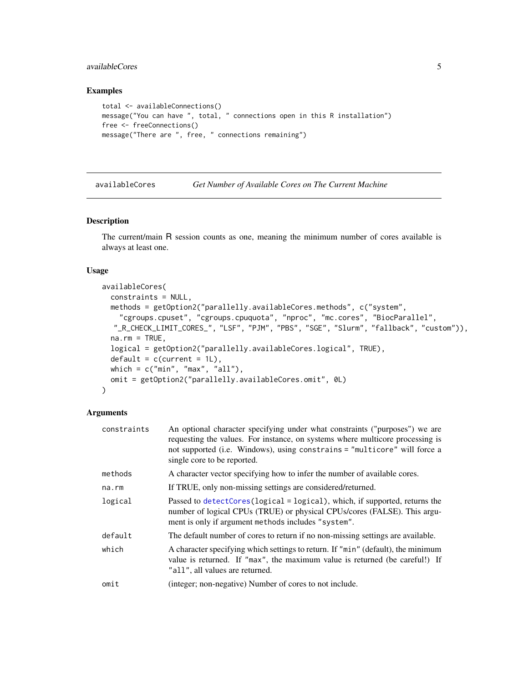# <span id="page-4-0"></span>availableCores 5

# Examples

```
total <- availableConnections()
message("You can have ", total, " connections open in this R installation")
free <- freeConnections()
message("There are ", free, " connections remaining")
```
<span id="page-4-1"></span>availableCores *Get Number of Available Cores on The Current Machine*

# Description

The current/main R session counts as one, meaning the minimum number of cores available is always at least one.

# Usage

```
availableCores(
  constraints = NULL,
  methods = getOption2("parallelly.availableCores.methods", c("system",
    "cgroups.cpuset", "cgroups.cpuquota", "nproc", "mc.cores", "BiocParallel",
  "_R_CHECK_LIMIT_CORES_", "LSF", "PJM", "PBS", "SGE", "Slurm", "fallback", "custom")),
  na.rm = TRUE,logical = getOption2("parallelly.availableCores.logical", TRUE),
  default = c(current = 1L),which = c("min", "max", "all"),
  omit = getOption2("parallelly.availableCores.omit", 0L)
\lambda
```
# Arguments

| constraints | An optional character specifying under what constraints ("purposes") we are<br>requesting the values. For instance, on systems where multicore processing is<br>not supported (i.e. Windows), using constrains = "multicore" will force a<br>single core to be reported. |
|-------------|--------------------------------------------------------------------------------------------------------------------------------------------------------------------------------------------------------------------------------------------------------------------------|
| methods     | A character vector specifying how to infer the number of available cores.                                                                                                                                                                                                |
| na.rm       | If TRUE, only non-missing settings are considered/returned.                                                                                                                                                                                                              |
| logical     | Passed to detectCores (logical = logical), which, if supported, returns the<br>number of logical CPUs (TRUE) or physical CPUs/cores (FALSE). This argu-<br>ment is only if argument methods includes "system".                                                           |
| default     | The default number of cores to return if no non-missing settings are available.                                                                                                                                                                                          |
| which       | A character specifying which settings to return. If "min" (default), the minimum<br>value is returned. If "max", the maximum value is returned (be careful!) If<br>"all", all values are returned.                                                                       |
| omit        | (integer; non-negative) Number of cores to not include.                                                                                                                                                                                                                  |
|             |                                                                                                                                                                                                                                                                          |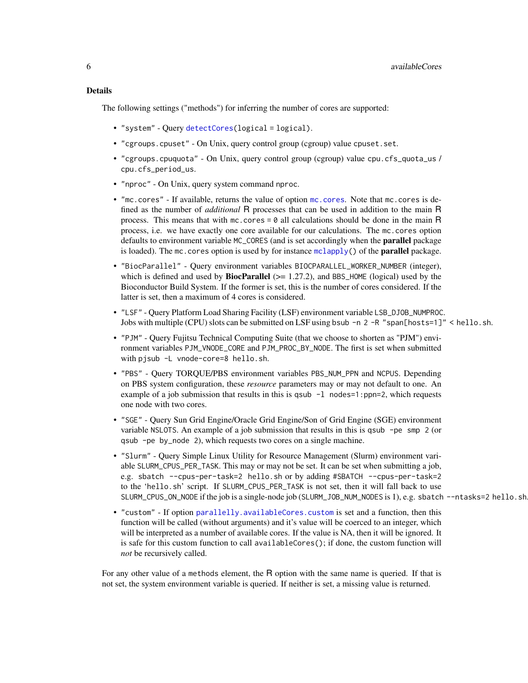# <span id="page-5-0"></span>Details

The following settings ("methods") for inferring the number of cores are supported:

- "system" Query [detectCores\(](#page-0-0)logical = logical).
- "cgroups.cpuset" On Unix, query control group (cgroup) value cpuset.set.
- "cgroups.cpuquota" On Unix, query control group (cgroup) value cpu.cfs\_quota\_us / cpu.cfs\_period\_us.
- "nproc" On Unix, query system command nproc.
- "mc.cores" If available, returns the value of option [mc.cores](#page-0-0). Note that mc.cores is defined as the number of *additional* R processes that can be used in addition to the main R process. This means that with  $mc \cdot cores = 0$  all calculations should be done in the main R process, i.e. we have exactly one core available for our calculations. The mc.cores option defaults to environment variable MC\_CORES (and is set accordingly when the parallel package is loaded). The mc. cores option is used by for instance  $mclapply()$  $mclapply()$  of the **parallel** package.
- "BiocParallel" Query environment variables BIOCPARALLEL\_WORKER\_NUMBER (integer), which is defined and used by **BiocParallel** ( $> = 1.27.2$ ), and BBS\_HOME (logical) used by the Bioconductor Build System. If the former is set, this is the number of cores considered. If the latter is set, then a maximum of 4 cores is considered.
- "LSF" Query Platform Load Sharing Facility (LSF) environment variable LSB\_DJOB\_NUMPROC. Jobs with multiple (CPU) slots can be submitted on LSF using bsub -n 2 -R "span[hosts=1]" < hello.sh.
- "PJM" Query Fujitsu Technical Computing Suite (that we choose to shorten as "PJM") environment variables PJM\_VNODE\_CORE and PJM\_PROC\_BY\_NODE. The first is set when submitted with pjsub -L vnode-core=8 hello.sh.
- "PBS" Query TORQUE/PBS environment variables PBS\_NUM\_PPN and NCPUS. Depending on PBS system configuration, these *resource* parameters may or may not default to one. An example of a job submission that results in this is qsub  $-1$  nodes=1:ppn=2, which requests one node with two cores.
- "SGE" Query Sun Grid Engine/Oracle Grid Engine/Son of Grid Engine (SGE) environment variable NSLOTS. An example of a job submission that results in this is qsub -pe smp 2 (or qsub -pe by\_node 2), which requests two cores on a single machine.
- "Slurm" Query Simple Linux Utility for Resource Management (Slurm) environment variable SLURM\_CPUS\_PER\_TASK. This may or may not be set. It can be set when submitting a job, e.g. sbatch --cpus-per-task=2 hello.sh or by adding #SBATCH --cpus-per-task=2 to the 'hello.sh' script. If SLURM\_CPUS\_PER\_TASK is not set, then it will fall back to use SLURM\_CPUS\_ON\_NODE if the job is a single-node job (SLURM\_JOB\_NUM\_NODES is 1), e.g. sbatch --ntasks=2 hello.sh
- "custom" If option [parallelly.availableCores.custom](#page-27-1) is set and a function, then this function will be called (without arguments) and it's value will be coerced to an integer, which will be interpreted as a number of available cores. If the value is NA, then it will be ignored. It is safe for this custom function to call availableCores(); if done, the custom function will *not* be recursively called.

For any other value of a methods element, the R option with the same name is queried. If that is not set, the system environment variable is queried. If neither is set, a missing value is returned.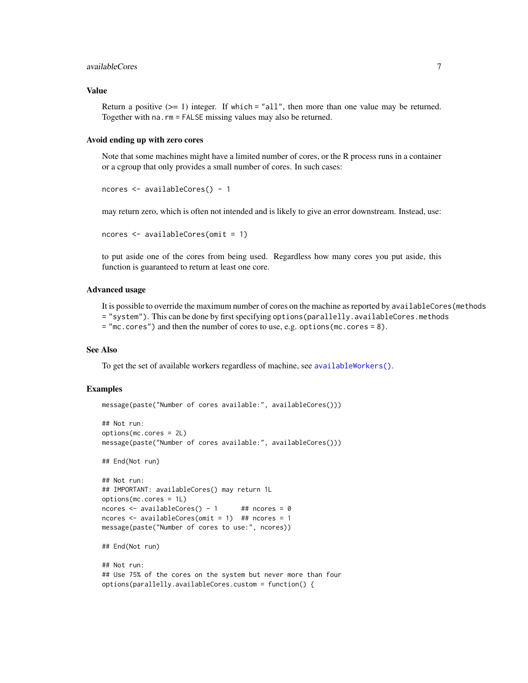# <span id="page-6-0"></span>availableCores 7

# Value

Return a positive  $(>= 1)$  integer. If which = "all", then more than one value may be returned. Together with na.rm = FALSE missing values may also be returned.

#### Avoid ending up with zero cores

Note that some machines might have a limited number of cores, or the R process runs in a container or a cgroup that only provides a small number of cores. In such cases:

```
ncores <- availableCores() - 1
```
may return zero, which is often not intended and is likely to give an error downstream. Instead, use:

```
ncores <- availableCores(omit = 1)
```
to put aside one of the cores from being used. Regardless how many cores you put aside, this function is guaranteed to return at least one core.

# Advanced usage

It is possible to override the maximum number of cores on the machine as reported by availableCores(methods = "system"). This can be done by first specifying options(parallelly.availableCores.methods = "mc.cores") and then the number of cores to use, e.g. options(mc.cores = 8).

# See Also

To get the set of available workers regardless of machine, see [availableWorkers\(\)](#page-7-1).

# Examples

```
message(paste("Number of cores available:", availableCores()))
```

```
## Not run:
options(mc.cores = 2L)
message(paste("Number of cores available:", availableCores()))
## End(Not run)
## Not run:
## IMPORTANT: availableCores() may return 1L
options(mc.cores = 1L)
ncores \leq availableCores() - 1 ## ncores = 0
ncores \leq availableCores(omit = 1) ## ncores = 1
message(paste("Number of cores to use:", ncores))
## End(Not run)
## Not run:
## Use 75% of the cores on the system but never more than four
```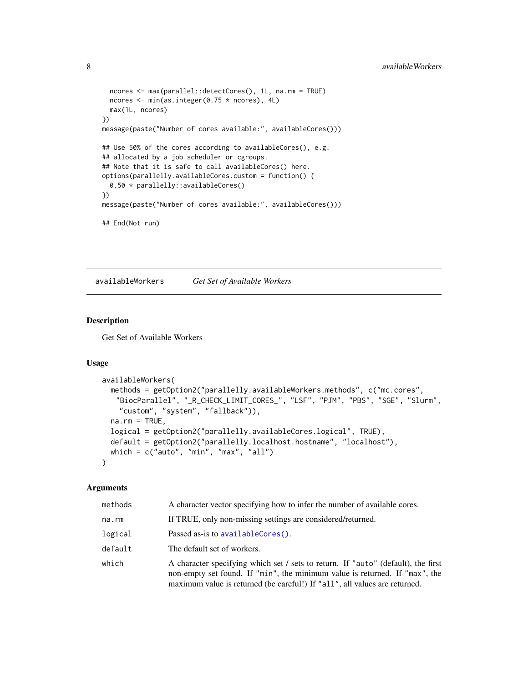```
ncores <- max(parallel::detectCores(), 1L, na.rm = TRUE)
 ncores <- min(as.integer(0.75 * ncores), 4L)
 max(1L, ncores)
})
message(paste("Number of cores available:", availableCores()))
## Use 50% of the cores according to availableCores(), e.g.
## allocated by a job scheduler or cgroups.
## Note that it is safe to call availableCores() here.
options(parallelly.availableCores.custom = function() {
 0.50 * parallelly::availableCores()
})
message(paste("Number of cores available:", availableCores()))
## End(Not run)
```
<span id="page-7-1"></span>availableWorkers *Get Set of Available Workers*

# Description

Get Set of Available Workers

#### Usage

```
availableWorkers(
  methods = getOption2("parallelly.availableWorkers.methods", c("mc.cores",
   "BiocParallel", "_R_CHECK_LIMIT_CORES_", "LSF", "PJM", "PBS", "SGE", "Slurm",
    "custom", "system", "fallback")),
  na.rm = TRUE,
  logical = getOption2("parallelly.availableCores.logical", TRUE),
  default = getOption2("parallelly.localhost.hostname", "localhost"),
  which = c("auto", "min", "max", "all")\mathcal{L}
```
# Arguments

| methods | A character vector specifying how to infer the number of available cores.                                                                                                                                                                      |
|---------|------------------------------------------------------------------------------------------------------------------------------------------------------------------------------------------------------------------------------------------------|
| na.rm   | If TRUE, only non-missing settings are considered/returned.                                                                                                                                                                                    |
| logical | Passed as-is to availableCores().                                                                                                                                                                                                              |
| default | The default set of workers.                                                                                                                                                                                                                    |
| which   | A character specifying which set / sets to return. If "auto" (default), the first<br>non-empty set found. If "min", the minimum value is returned. If "max", the<br>maximum value is returned (be careful!) If "all", all values are returned. |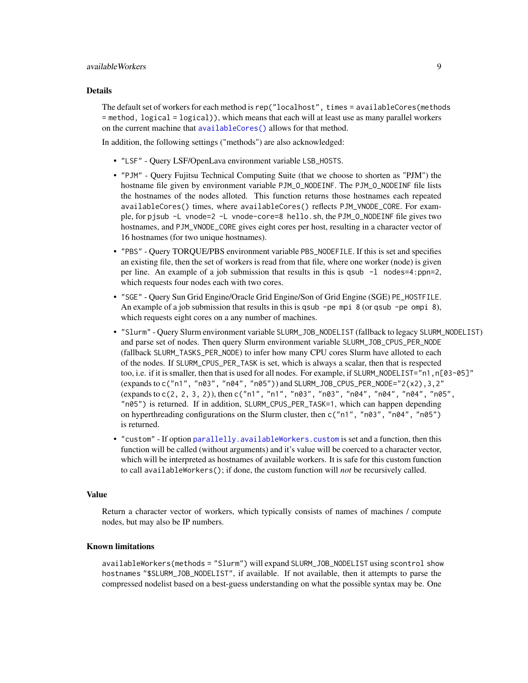# <span id="page-8-0"></span>availableWorkers 9

#### Details

The default set of workers for each method is rep("localhost", times = availableCores(methods = method, logical = logical)), which means that each will at least use as many parallel workers on the current machine that [availableCores\(\)](#page-4-1) allows for that method.

In addition, the following settings ("methods") are also acknowledged:

- "LSF" Query LSF/OpenLava environment variable LSB\_HOSTS.
- "PJM" Query Fujitsu Technical Computing Suite (that we choose to shorten as "PJM") the hostname file given by environment variable PJM\_O\_NODEINF. The PJM\_O\_NODEINF file lists the hostnames of the nodes alloted. This function returns those hostnames each repeated availableCores() times, where availableCores() reflects PJM\_VNODE\_CORE. For example, for pjsub -L vnode=2 -L vnode-core=8 hello.sh, the PJM\_O\_NODEINF file gives two hostnames, and PJM\_VNODE\_CORE gives eight cores per host, resulting in a character vector of 16 hostnames (for two unique hostnames).
- "PBS" Query TORQUE/PBS environment variable PBS\_NODEFILE. If this is set and specifies an existing file, then the set of workers is read from that file, where one worker (node) is given per line. An example of a job submission that results in this is qsub -l nodes=4:ppn=2, which requests four nodes each with two cores.
- "SGE" Query Sun Grid Engine/Oracle Grid Engine/Son of Grid Engine (SGE) PE\_HOSTFILE. An example of a job submission that results in this is qsub -pe mpi  $8$  (or qsub -pe ompi  $8$ ), which requests eight cores on a any number of machines.
- "Slurm" Query Slurm environment variable SLURM\_JOB\_NODELIST (fallback to legacy SLURM\_NODELIST) and parse set of nodes. Then query Slurm environment variable SLURM\_JOB\_CPUS\_PER\_NODE (fallback SLURM\_TASKS\_PER\_NODE) to infer how many CPU cores Slurm have alloted to each of the nodes. If SLURM\_CPUS\_PER\_TASK is set, which is always a scalar, then that is respected too, i.e. if it is smaller, then that is used for all nodes. For example, if SLURM\_NODELIST="n1,n[03-05]" (expands to c("n1", "n03", "n04", "n05")) and SLURM\_JOB\_CPUS\_PER\_NODE="2(x2),3,2" (expands to c(2, 2, 3, 2)), then c("n1", "n1", "n03", "n03", "n04", "n04", "n04", "n05", "n05") is returned. If in addition, SLURM\_CPUS\_PER\_TASK=1, which can happen depending on hyperthreading configurations on the Slurm cluster, then c("n1", "n03", "n04", "n05") is returned.
- "custom" If option parallelly, availableWorkers, custom is set and a function, then this function will be called (without arguments) and it's value will be coerced to a character vector, which will be interpreted as hostnames of available workers. It is safe for this custom function to call availableWorkers(); if done, the custom function will *not* be recursively called.

#### Value

Return a character vector of workers, which typically consists of names of machines / compute nodes, but may also be IP numbers.

#### Known limitations

availableWorkers(methods = "Slurm") will expand SLURM\_JOB\_NODELIST using scontrol show hostnames "\$SLURM\_JOB\_NODELIST", if available. If not available, then it attempts to parse the compressed nodelist based on a best-guess understanding on what the possible syntax may be. One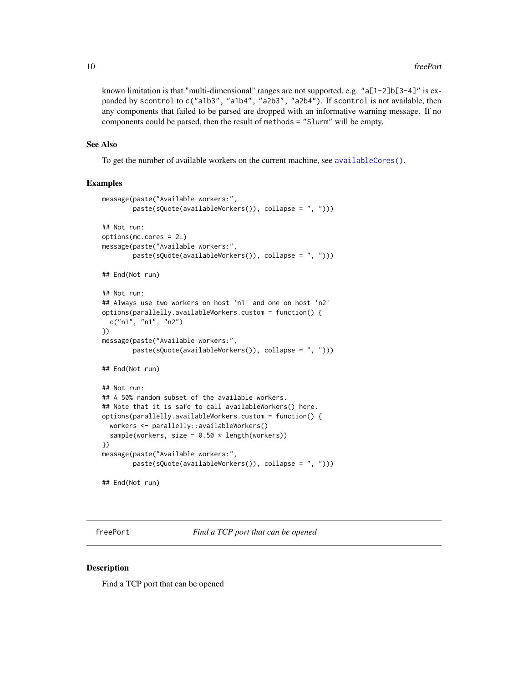<span id="page-9-0"></span>known limitation is that "multi-dimensional" ranges are not supported, e.g. " $a[1-2]b[3-4]$ " is expanded by scontrol to c("a1b3", "a1b4", "a2b3", "a2b4"). If scontrol is not available, then any components that failed to be parsed are dropped with an informative warning message. If no components could be parsed, then the result of methods = "Slurm" will be empty.

## See Also

To get the number of available workers on the current machine, see [availableCores\(\)](#page-4-1).

# Examples

```
message(paste("Available workers:",
        paste(sQuote(availableWorkers()), collapse = ", ")))
## Not run:
options(mc.cores = 2L)
message(paste("Available workers:",
        paste(sQuote(availableWorkers()), collapse = ", ")))
## End(Not run)
## Not run:
## Always use two workers on host 'n1' and one on host 'n2'
options(parallelly.availableWorkers.custom = function() {
 c("n1", "n1", "n2")
})
message(paste("Available workers:",
        paste(sQuote(availableWorkers()), collapse = ", ")))
## End(Not run)
## Not run:
## A 50% random subset of the available workers.
## Note that it is safe to call availableWorkers() here.
options(parallelly.availableWorkers.custom = function() {
 workers <- parallelly::availableWorkers()
 sample(workers, size = 0.50 * length(workers))})
message(paste("Available workers:",
        paste(sQuote(availableWorkers()), collapse = ", ")))
## End(Not run)
```
freePort *Find a TCP port that can be opened*

# **Description**

Find a TCP port that can be opened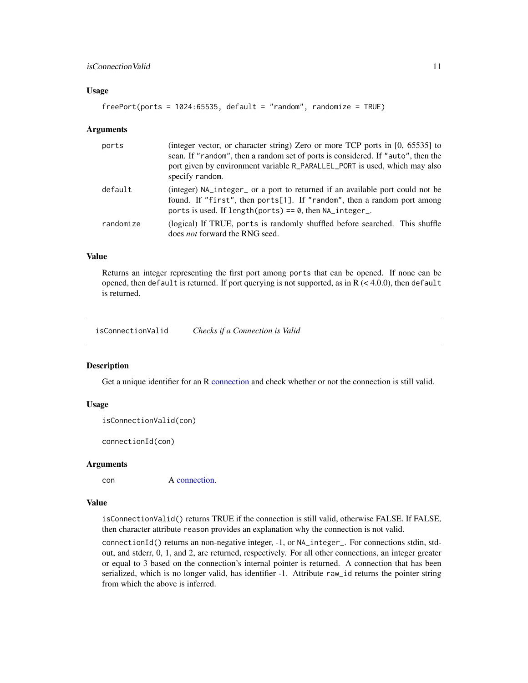# <span id="page-10-0"></span>Usage

```
freePort(ports = 1024:65535, default = "random", randomize = TRUE)
```
#### **Arguments**

| ports     | (integer vector, or character string) Zero or more TCP ports in [0, 65535] to<br>scan. If "random", then a random set of ports is considered. If "auto", then the<br>port given by environment variable R_PARALLEL_PORT is used, which may also<br>specify random. |
|-----------|--------------------------------------------------------------------------------------------------------------------------------------------------------------------------------------------------------------------------------------------------------------------|
| default   | (integer) NA_integer_ or a port to returned if an available port could not be<br>found. If "first", then ports[1]. If "random", then a random port among<br>ports is used. If length(ports) == $\theta$ , then NA integer.                                         |
| randomize | (logical) If TRUE, ports is randomly shuffled before searched. This shuffle<br>does <i>not</i> forward the RNG seed.                                                                                                                                               |

## Value

Returns an integer representing the first port among ports that can be opened. If none can be opened, then default is returned. If port querying is not supported, as in  $R \leq 4.0.0$ ), then default is returned.

isConnectionValid *Checks if a Connection is Valid*

#### Description

Get a unique identifier for an R [connection](#page-0-0) and check whether or not the connection is still valid.

# Usage

```
isConnectionValid(con)
```
connectionId(con)

#### Arguments

con A [connection.](#page-0-0)

# Value

isConnectionValid() returns TRUE if the connection is still valid, otherwise FALSE. If FALSE, then character attribute reason provides an explanation why the connection is not valid.

connectionId() returns an non-negative integer, -1, or NA\_integer\_. For connections stdin, stdout, and stderr, 0, 1, and 2, are returned, respectively. For all other connections, an integer greater or equal to 3 based on the connection's internal pointer is returned. A connection that has been serialized, which is no longer valid, has identifier -1. Attribute raw\_id returns the pointer string from which the above is inferred.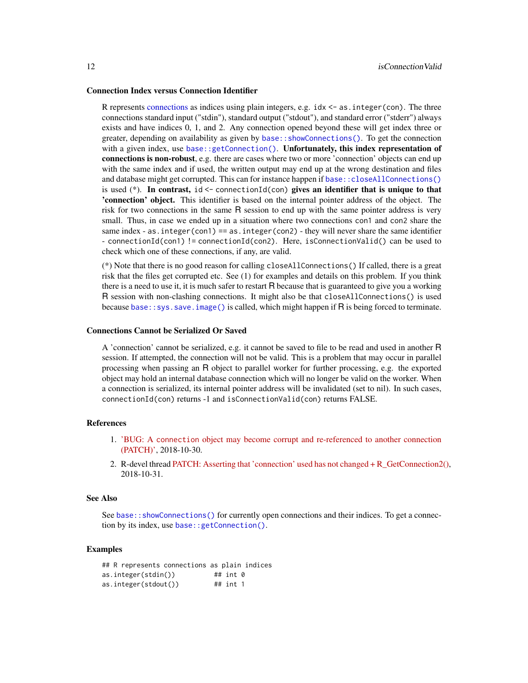#### <span id="page-11-0"></span>Connection Index versus Connection Identifier

R represents [connections](#page-0-0) as indices using plain integers, e.g.  $i$  dx  $\leq -a$ s. integer(con). The three connections standard input ("stdin"), standard output ("stdout"), and standard error ("stderr") always exists and have indices 0, 1, and 2. Any connection opened beyond these will get index three or greater, depending on availability as given by [base::showConnections\(\)](#page-0-0). To get the connection with a given index, use [base::getConnection\(\)](#page-0-0). Unfortunately, this index representation of connections is non-robust, e.g. there are cases where two or more 'connection' objects can end up with the same index and if used, the written output may end up at the wrong destination and files and database might get corrupted. This can for instance happen if [base::closeAllConnections\(\)](#page-0-0) is used  $(*)$ . In contrast, id <- connectionId(con) gives an identifier that is unique to that 'connection' object. This identifier is based on the internal pointer address of the object. The risk for two connections in the same R session to end up with the same pointer address is very small. Thus, in case we ended up in a situation where two connections con1 and con2 share the same index - as. integer(con1) == as. integer(con2) - they will never share the same identifier - connectionId(con1) != connectionId(con2). Here, isConnectionValid() can be used to check which one of these connections, if any, are valid.

(\*) Note that there is no good reason for calling closeAllConnections() If called, there is a great risk that the files get corrupted etc. See (1) for examples and details on this problem. If you think there is a need to use it, it is much safer to restart R because that is guaranteed to give you a working R session with non-clashing connections. It might also be that closeAllConnections() is used because [base::sys.save.image\(\)](#page-0-0) is called, which might happen if R is being forced to terminate.

#### Connections Cannot be Serialized Or Saved

A 'connection' cannot be serialized, e.g. it cannot be saved to file to be read and used in another R session. If attempted, the connection will not be valid. This is a problem that may occur in parallel processing when passing an R object to parallel worker for further processing, e.g. the exported object may hold an internal database connection which will no longer be valid on the worker. When a connection is serialized, its internal pointer address will be invalidated (set to nil). In such cases, connectionId(con) returns -1 and isConnectionValid(con) returns FALSE.

# References

- 1. 'BUG: A connection [object may become corrupt and re-referenced to another connection](https://github.com/HenrikBengtsson/Wishlist-for-R/issues/81) [\(PATCH\)',](https://github.com/HenrikBengtsson/Wishlist-for-R/issues/81) 2018-10-30.
- 2. R-devel thread [PATCH: Asserting that 'connection' used has not changed + R\\_GetConnection2\(\),](https://stat.ethz.ch/pipermail/r-devel/2018-October/077004.html) 2018-10-31.

# See Also

See base:: showConnections() for currently open connections and their indices. To get a connection by its index, use [base::getConnection\(\)](#page-0-0).

# Examples

|  |                      | ## R represents connections as plain indices |              |  |
|--|----------------------|----------------------------------------------|--------------|--|
|  | as.integer(stdin())  |                                              | ## int 0     |  |
|  | as.integer(stdout()) |                                              | $\#$ # int 1 |  |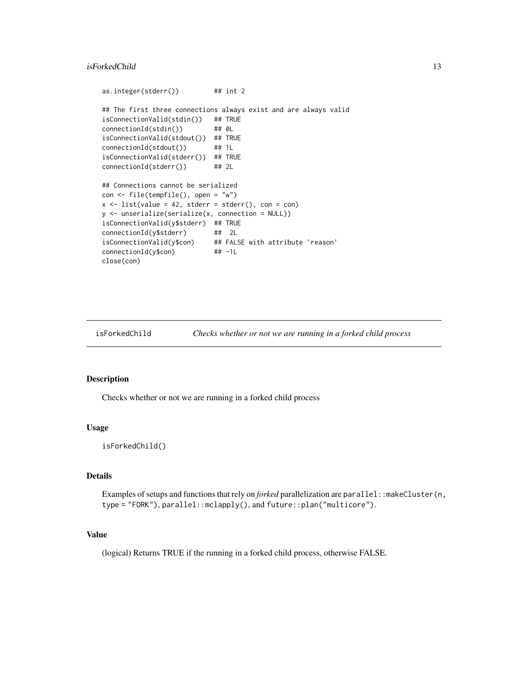# <span id="page-12-0"></span>isForkedChild 13

```
as.integer(stderr()) ## int 2
## The first three connections always exist and are always valid
isConnectionValid(stdin()) ## TRUE
connectionId(stdin()) ## 0L
isConnectionValid(stdout()) ## TRUE
connectionId(stdout()) ## 1L
isConnectionValid(stderr()) ## TRUE
connectionId(stderr()) ## 2L
## Connections cannot be serialized
con <- file(tempfile(), open = "w")
x \le - list(value = 42, stderr = stderr(), con = con)
y <- unserialize(serialize(x, connection = NULL))
isConnectionValid(y$stderr) ## TRUE
connectionId(y$stderr) ## 2L
isConnectionValid(y$con) ## FALSE with attribute 'reason'
connectionId(y$con) ## -1L
close(con)
```
isForkedChild *Checks whether or not we are running in a forked child process*

# Description

Checks whether or not we are running in a forked child process

#### Usage

```
isForkedChild()
```
## Details

Examples of setups and functions that rely on *forked* parallelization are parallel: : makeCluster(n, type = "FORK"), parallel::mclapply(), and future::plan("multicore").

# Value

(logical) Returns TRUE if the running in a forked child process, otherwise FALSE.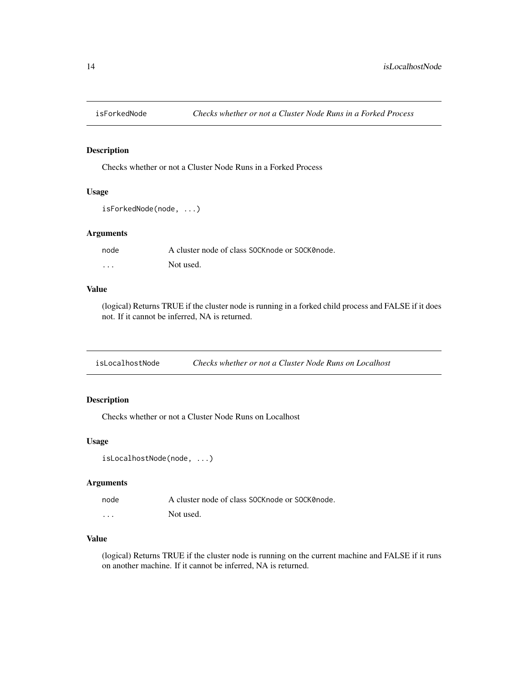<span id="page-13-0"></span>

# Description

Checks whether or not a Cluster Node Runs in a Forked Process

# Usage

```
isForkedNode(node, ...)
```
# Arguments

| node     | A cluster node of class SOCK node or SOCK 0 node. |
|----------|---------------------------------------------------|
| $\cdots$ | Not used.                                         |

# Value

(logical) Returns TRUE if the cluster node is running in a forked child process and FALSE if it does not. If it cannot be inferred, NA is returned.

isLocalhostNode *Checks whether or not a Cluster Node Runs on Localhost*

# Description

Checks whether or not a Cluster Node Runs on Localhost

# Usage

isLocalhostNode(node, ...)

# Arguments

| node     | A cluster node of class SOCK node or SOCK 0 node. |
|----------|---------------------------------------------------|
| $\cdots$ | Not used.                                         |

# Value

(logical) Returns TRUE if the cluster node is running on the current machine and FALSE if it runs on another machine. If it cannot be inferred, NA is returned.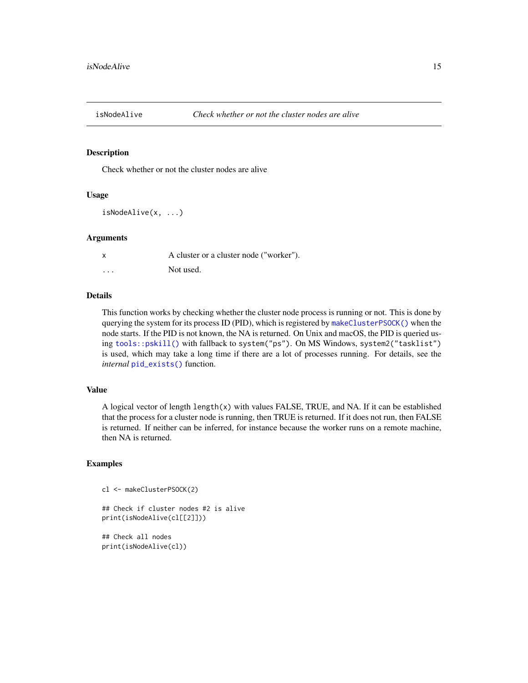<span id="page-14-0"></span>

# Description

Check whether or not the cluster nodes are alive

# Usage

```
isNodeAlive(x, ...)
```
# **Arguments**

| $\boldsymbol{\mathsf{x}}$ | A cluster or a cluster node ("worker"). |
|---------------------------|-----------------------------------------|
| $\cdots$                  | Not used.                               |

# Details

This function works by checking whether the cluster node process is running or not. This is done by querying the system for its process ID (PID), which is registered by [makeClusterPSOCK\(\)](#page-16-1) when the node starts. If the PID is not known, the NA is returned. On Unix and macOS, the PID is queried using [tools::pskill\(\)](#page-0-0) with fallback to system("ps"). On MS Windows, system2("tasklist") is used, which may take a long time if there are a lot of processes running. For details, see the *internal* [pid\\_exists\(\)](#page-0-0) function.

# Value

A logical vector of length length(x) with values FALSE, TRUE, and NA. If it can be established that the process for a cluster node is running, then TRUE is returned. If it does not run, then FALSE is returned. If neither can be inferred, for instance because the worker runs on a remote machine, then NA is returned.

#### Examples

```
cl <- makeClusterPSOCK(2)
```

```
## Check if cluster nodes #2 is alive
print(isNodeAlive(cl[[2]]))
```
## Check all nodes print(isNodeAlive(cl))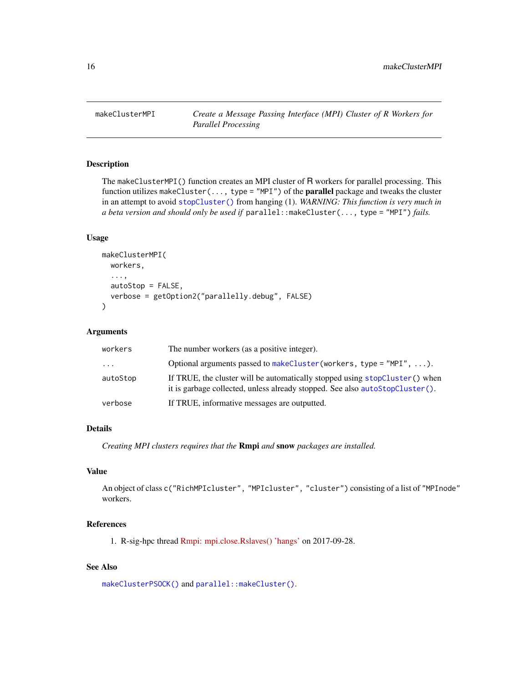<span id="page-15-0"></span>

# Description

The makeClusterMPI() function creates an MPI cluster of R workers for parallel processing. This function utilizes makeCluster(..., type = "MPI") of the **parallel** package and tweaks the cluster in an attempt to avoid [stopCluster\(\)](#page-0-0) from hanging (1). *WARNING: This function is very much in a beta version and should only be used if* parallel::makeCluster(..., type = "MPI") *fails.*

# Usage

```
makeClusterMPI(
  workers,
  ...,
  autoStop = FALSE,
  verbose = getOption2("parallelly.debug", FALSE)
)
```
# Arguments

| workers                 | The number workers (as a positive integer).                                                                                                                 |
|-------------------------|-------------------------------------------------------------------------------------------------------------------------------------------------------------|
| $\cdot$ $\cdot$ $\cdot$ | Optional arguments passed to makeCluster (workers, type = $mPI''$ , ).                                                                                      |
| autoStop                | If TRUE, the cluster will be automatically stopped using stopCluster() when<br>it is garbage collected, unless already stopped. See also autoStopCluster(). |
| verbose                 | If TRUE, informative messages are outputted.                                                                                                                |

# Details

*Creating MPI clusters requires that the* Rmpi *and* snow *packages are installed.*

# Value

An object of class c("RichMPIcluster", "MPIcluster", "cluster") consisting of a list of "MPInode" workers.

# References

1. R-sig-hpc thread [Rmpi: mpi.close.Rslaves\(\) 'hangs'](https://stat.ethz.ch/pipermail/r-sig-hpc/2017-September/002065.html) on 2017-09-28.

# See Also

[makeClusterPSOCK\(\)](#page-16-1) and [parallel::makeCluster\(\)](#page-0-0).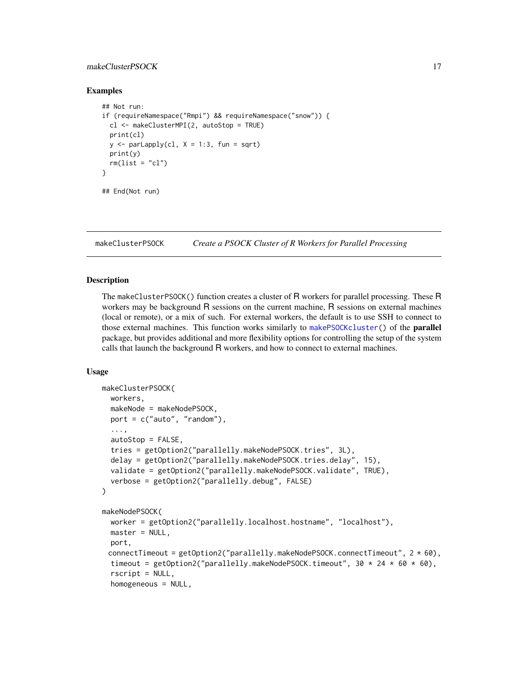# <span id="page-16-0"></span>makeClusterPSOCK 17

# Examples

```
## Not run:
if (requireNamespace("Rmpi") && requireNamespace("snow")) {
 cl <- makeClusterMPI(2, autoStop = TRUE)
 print(cl)
 y \leq - parLapply(cl, X = 1:3, fun = sqrt)
 print(y)
 rm(list = "cl")}
## End(Not run)
```
<span id="page-16-1"></span>

makeClusterPSOCK *Create a PSOCK Cluster of R Workers for Parallel Processing*

# <span id="page-16-2"></span>Description

The makeClusterPSOCK() function creates a cluster of R workers for parallel processing. These R workers may be background R sessions on the current machine, R sessions on external machines (local or remote), or a mix of such. For external workers, the default is to use SSH to connect to those external machines. This function works similarly to [makePSOCKcluster\(](#page-0-0)) of the parallel package, but provides additional and more flexibility options for controlling the setup of the system calls that launch the background R workers, and how to connect to external machines.

# Usage

```
makeClusterPSOCK(
  workers,
  makeNode = makeNodePSOCK,
  port = c("auto", "random"),
  ...,
  autoStop = FALSE,
  tries = getOption2("parallelly.makeNodePSOCK.tries", 3L),
  delay = getOption2("parallelly.makeNodePSOCK.tries.delay", 15),
  validate = getOption2("parallelly.makeNodePSOCK.validate", TRUE),
  verbose = getOption2("parallelly.debug", FALSE)
)
makeNodePSOCK(
  worker = getOption2("parallelly.localhost.hostname", "localhost"),
  master = NULL,
  port,
 connectTimeout = getOption2("parallelly.makeNodePSOCK.connectTimeout", 2 * 60),
  timeout = getOption2("parallelly.makeNodePSOCK.timeout", 30 \times 24 \times 60 \times 60),
  rscript = NULL,
  homogeneous = NULL,
```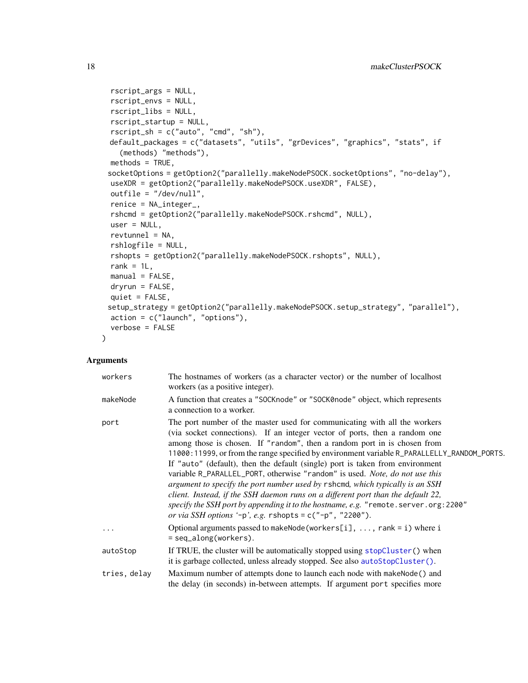```
rscript_args = NULL,
rscript_envs = NULL,
rscript_libs = NULL,
rscript_startup = NULL,
rscript_sh = c("auto", "cmd", "sh"),
default_packages = c("datasets", "utils", "grDevices", "graphics", "stats", if
  (methods) "methods"),
methods = TRUE,
socketOptions = getOption2("parallelly.makeNodePSOCK.socketOptions", "no-delay"),
useXDR = getOption2("parallelly.makeNodePSOCK.useXDR", FALSE),
outfile = "/dev/null",
renice = NA_integer_,
rshcmd = getOption2("parallelly.makeNodePSOCK.rshcmd", NULL),
user = NULL,
revtunnel = NA,rshlogfile = NULL,
rshopts = getOption2("parallelly.makeNodePSOCK.rshopts", NULL),
rank = 1L,
manual = FALSE,dryrun = FALSE,
quiet = FALSE,setup_strategy = getOption2("parallelly.makeNodePSOCK.setup_strategy", "parallel"),
action = c("launch", "options"),
verbose = FALSE
```
# Arguments

)

| workers      | The hostnames of workers (as a character vector) or the number of local host<br>workers (as a positive integer).                                                                                                                                                                                                                                                                                                                                                                                                                                                                                                                                                                                                                                                                                                               |
|--------------|--------------------------------------------------------------------------------------------------------------------------------------------------------------------------------------------------------------------------------------------------------------------------------------------------------------------------------------------------------------------------------------------------------------------------------------------------------------------------------------------------------------------------------------------------------------------------------------------------------------------------------------------------------------------------------------------------------------------------------------------------------------------------------------------------------------------------------|
| makeNode     | A function that creates a "SOCKnode" or "SOCK0node" object, which represents<br>a connection to a worker.                                                                                                                                                                                                                                                                                                                                                                                                                                                                                                                                                                                                                                                                                                                      |
| port         | The port number of the master used for communicating with all the workers<br>(via socket connections). If an integer vector of ports, then a random one<br>among those is chosen. If "random", then a random port in is chosen from<br>11000:11999, or from the range specified by environment variable R_PARALLELLY_RANDOM_PORTS.<br>If "auto" (default), then the default (single) port is taken from environment<br>variable R_PARALLEL_PORT, otherwise "random" is used. Note, do not use this<br>argument to specify the port number used by rshomd, which typically is an SSH<br>client. Instead, if the SSH daemon runs on a different port than the default 22,<br>specify the SSH port by appending it to the hostname, e.g. "remote.server.org: 2200"<br>or via SSH options '-p', e.g. $r$ shopts = c("-p", "2200"). |
| $\cdot$      | Optional arguments passed to makeNode(workers[i], , rank = i) where i<br>$=$ seq_along(workers).                                                                                                                                                                                                                                                                                                                                                                                                                                                                                                                                                                                                                                                                                                                               |
| autoStop     | If TRUE, the cluster will be automatically stopped using stopCluster() when<br>it is garbage collected, unless already stopped. See also autoStopCluster().                                                                                                                                                                                                                                                                                                                                                                                                                                                                                                                                                                                                                                                                    |
| tries, delay | Maximum number of attempts done to launch each node with makeNode() and<br>the delay (in seconds) in-between attempts. If argument port specifies more                                                                                                                                                                                                                                                                                                                                                                                                                                                                                                                                                                                                                                                                         |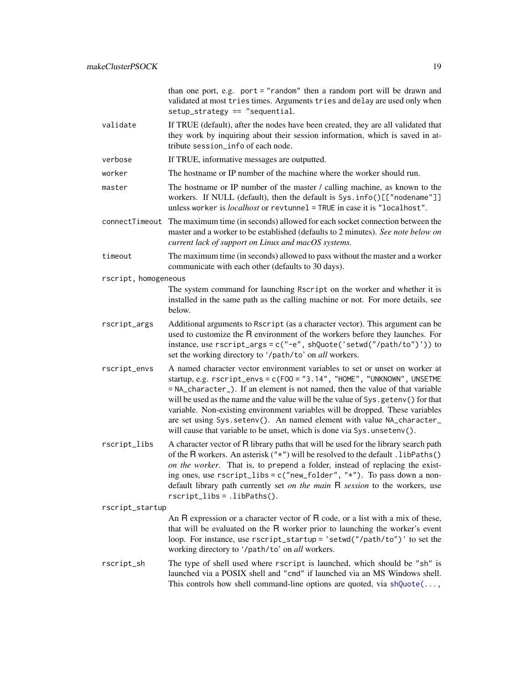than one port, e.g. port = "random" then a random port will be drawn and validated at most tries times. Arguments tries and delay are used only when  $setup_{\text{strategy}} == "sequential.$ 

- validate If TRUE (default), after the nodes have been created, they are all validated that they work by inquiring about their session information, which is saved in attribute session\_info of each node.
- verbose If TRUE, informative messages are outputted.
- worker The hostname or IP number of the machine where the worker should run.
- master The hostname or IP number of the master / calling machine, as known to the workers. If NULL (default), then the default is Sys.info()[["nodename"]] unless worker is *localhost* or revtunnel = TRUE in case it is "localhost".
- connectTimeout The maximum time (in seconds) allowed for each socket connection between the master and a worker to be established (defaults to 2 minutes). *See note below on current lack of support on Linux and macOS systems.*
- timeout The maximum time (in seconds) allowed to pass without the master and a worker communicate with each other (defaults to 30 days).
- rscript, homogeneous

The system command for launching Rscript on the worker and whether it is installed in the same path as the calling machine or not. For more details, see below.

- rscript\_args Additional arguments to Rscript (as a character vector). This argument can be used to customize the R environment of the workers before they launches. For instance, use rscript\_args = c("-e", shQuote('setwd("/path/to")')) to set the working directory to '/path/to' on *all* workers.
- rscript\_envs A named character vector environment variables to set or unset on worker at startup, e.g. rscript\_envs = c(FOO = "3.14", "HOME", "UNKNOWN", UNSETME = NA\_character\_). If an element is not named, then the value of that variable will be used as the name and the value will be the value of Sys.getenv() for that variable. Non-existing environment variables will be dropped. These variables are set using Sys.setenv(). An named element with value NA\_character\_ will cause that variable to be unset, which is done via Sys.unsetenv().
- rscript\_libs A character vector of R library paths that will be used for the library search path of the R workers. An asterisk  $("*")$  will be resolved to the default . libPaths() *on the worker*. That is, to prepend a folder, instead of replacing the existing ones, use  $rscript\_libs = c("new_folder", "*").$  To pass down a nondefault library path currently set *on the main* R *session* to the workers, use rscript\_libs = .libPaths().

```
rscript_startup
```
An R expression or a character vector of R code, or a list with a mix of these, that will be evaluated on the R worker prior to launching the worker's event loop. For instance, use rscript\_startup = 'setwd("/path/to")' to set the working directory to '/path/to' on *all* workers.

rscript\_sh The type of shell used where rscript is launched, which should be "sh" is launched via a POSIX shell and "cmd" if launched via an MS Windows shell. This controls how shell command-line options are quoted, via  $shQuote(\ldots,$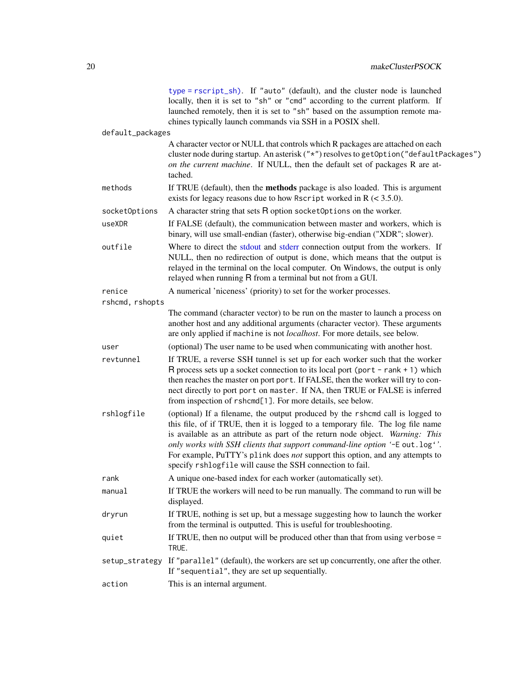<span id="page-19-0"></span>

|                  | type = rscript_sh). If "auto" (default), and the cluster node is launched<br>locally, then it is set to "sh" or "cmd" according to the current platform. If<br>launched remotely, then it is set to "sh" based on the assumption remote ma-<br>chines typically launch commands via SSH in a POSIX shell.                                                                                                                                                                     |
|------------------|-------------------------------------------------------------------------------------------------------------------------------------------------------------------------------------------------------------------------------------------------------------------------------------------------------------------------------------------------------------------------------------------------------------------------------------------------------------------------------|
| default_packages |                                                                                                                                                                                                                                                                                                                                                                                                                                                                               |
|                  | A character vector or NULL that controls which R packages are attached on each<br>cluster node during startup. An asterisk ("*") resolves to getOption ("defaultPackages")<br>on the current machine. If NULL, then the default set of packages R are at-<br>tached.                                                                                                                                                                                                          |
| methods          | If TRUE (default), then the <b>methods</b> package is also loaded. This is argument<br>exists for legacy reasons due to how Rscript worked in $R$ (< 3.5.0).                                                                                                                                                                                                                                                                                                                  |
| socketOptions    | A character string that sets R option socket Options on the worker.                                                                                                                                                                                                                                                                                                                                                                                                           |
| useXDR           | If FALSE (default), the communication between master and workers, which is<br>binary, will use small-endian (faster), otherwise big-endian ("XDR"; slower).                                                                                                                                                                                                                                                                                                                   |
| outfile          | Where to direct the stdout and stderr connection output from the workers. If<br>NULL, then no redirection of output is done, which means that the output is<br>relayed in the terminal on the local computer. On Windows, the output is only<br>relayed when running R from a terminal but not from a GUI.                                                                                                                                                                    |
| renice           | A numerical 'niceness' (priority) to set for the worker processes.                                                                                                                                                                                                                                                                                                                                                                                                            |
| rshcmd, rshopts  |                                                                                                                                                                                                                                                                                                                                                                                                                                                                               |
|                  | The command (character vector) to be run on the master to launch a process on<br>another host and any additional arguments (character vector). These arguments<br>are only applied if machine is not localhost. For more details, see below.                                                                                                                                                                                                                                  |
| user             | (optional) The user name to be used when communicating with another host.                                                                                                                                                                                                                                                                                                                                                                                                     |
| revtunnel        | If TRUE, a reverse SSH tunnel is set up for each worker such that the worker<br>$R$ process sets up a socket connection to its local port (port - rank + 1) which<br>then reaches the master on port port. If FALSE, then the worker will try to con-<br>nect directly to port port on master. If NA, then TRUE or FALSE is inferred<br>from inspection of rshcmd[1]. For more details, see below.                                                                            |
| rshlogfile       | (optional) If a filename, the output produced by the rshcmd call is logged to<br>this file, of if TRUE, then it is logged to a temporary file. The log file name<br>is available as an attribute as part of the return node object. Warning: This<br>only works with SSH clients that support command-line option '-E out.log''.<br>For example, PuTTY's plink does not support this option, and any attempts to<br>specify rshlogfile will cause the SSH connection to fail. |
| rank             | A unique one-based index for each worker (automatically set).                                                                                                                                                                                                                                                                                                                                                                                                                 |
| manual           | If TRUE the workers will need to be run manually. The command to run will be<br>displayed.                                                                                                                                                                                                                                                                                                                                                                                    |
| dryrun           | If TRUE, nothing is set up, but a message suggesting how to launch the worker<br>from the terminal is outputted. This is useful for troubleshooting.                                                                                                                                                                                                                                                                                                                          |
| quiet            | If TRUE, then no output will be produced other than that from using verbose =<br>TRUE.                                                                                                                                                                                                                                                                                                                                                                                        |
| setup_strategy   | If "parallel" (default), the workers are set up concurrently, one after the other.<br>If "sequential", they are set up sequentially.                                                                                                                                                                                                                                                                                                                                          |
| action           | This is an internal argument.                                                                                                                                                                                                                                                                                                                                                                                                                                                 |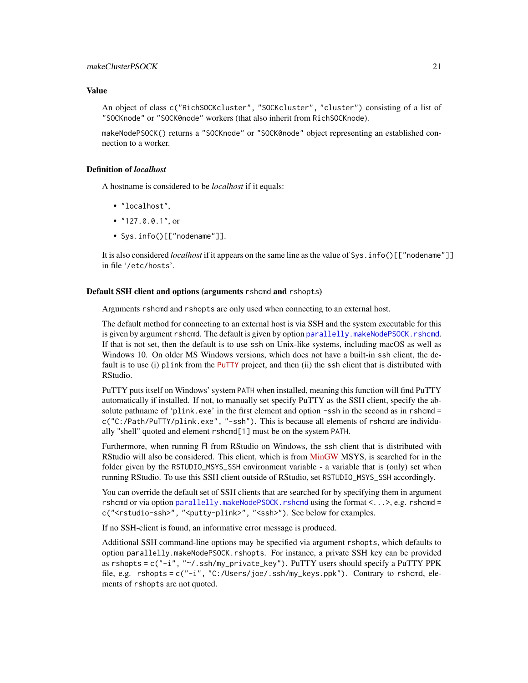# <span id="page-20-0"></span>makeClusterPSOCK 21

#### Value

An object of class c("RichSOCKcluster", "SOCKcluster", "cluster") consisting of a list of "SOCKnode" or "SOCK0node" workers (that also inherit from RichSOCKnode).

makeNodePSOCK() returns a "SOCKnode" or "SOCK0node" object representing an established connection to a worker.

# Definition of *localhost*

A hostname is considered to be *localhost* if it equals:

- "localhost",
- "127.0.0.1", or
- Sys.info()[["nodename"]].

It is also considered *localhost* if it appears on the same line as the value of Sys.info()[["nodename"]] in file '/etc/hosts'.

#### Default SSH client and options (arguments rshcmd and rshopts)

Arguments rshcmd and rshopts are only used when connecting to an external host.

The default method for connecting to an external host is via SSH and the system executable for this is given by argument rshcmd. The default is given by option [parallelly.makeNodePSOCK.rshcmd](#page-27-1). If that is not set, then the default is to use ssh on Unix-like systems, including macOS as well as Windows 10. On older MS Windows versions, which does not have a built-in ssh client, the de-fault is to use (i) plink from the [PuTTY](https://www.putty.org/) project, and then (ii) the ssh client that is distributed with RStudio.

PuTTY puts itself on Windows' system PATH when installed, meaning this function will find PuTTY automatically if installed. If not, to manually set specify PuTTY as the SSH client, specify the absolute pathname of 'plink.exe' in the first element and option -ssh in the second as in rshcmd = c("C:/Path/PuTTY/plink.exe", "-ssh"). This is because all elements of rshcmd are individually "shell" quoted and element rshcmd[1] must be on the system PATH.

Furthermore, when running R from RStudio on Windows, the ssh client that is distributed with RStudio will also be considered. This client, which is from [MinGW](https://osdn.net/projects/mingw/) MSYS, is searched for in the folder given by the RSTUDIO\_MSYS\_SSH environment variable - a variable that is (only) set when running RStudio. To use this SSH client outside of RStudio, set RSTUDIO\_MSYS\_SSH accordingly.

You can override the default set of SSH clients that are searched for by specifying them in argument rshcmd or via option [parallelly.makeNodePSOCK.rshcmd](#page-27-1) using the format <...>, e.g. rshcmd = c("<rstudio-ssh>", "<putty-plink>", "<ssh>"). See below for examples.

If no SSH-client is found, an informative error message is produced.

Additional SSH command-line options may be specified via argument rshopts, which defaults to option parallelly.makeNodePSOCK.rshopts. For instance, a private SSH key can be provided as rshopts = c("-i", "~/.ssh/my\_private\_key"). PuTTY users should specify a PuTTY PPK file, e.g. rshopts = c("-i", "C:/Users/joe/.ssh/my\_keys.ppk"). Contrary to rshcmd, elements of rshopts are not quoted.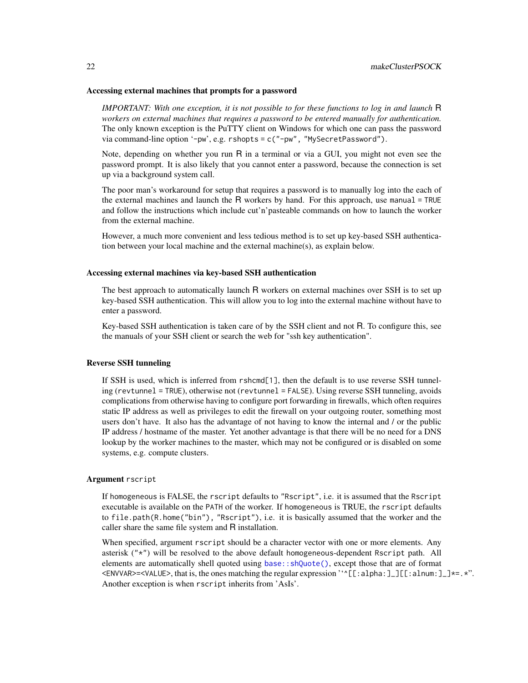#### <span id="page-21-0"></span>Accessing external machines that prompts for a password

*IMPORTANT: With one exception, it is not possible to for these functions to log in and launch* R *workers on external machines that requires a password to be entered manually for authentication.* The only known exception is the PuTTY client on Windows for which one can pass the password via command-line option '-pw', e.g. rshopts = c("-pw", "MySecretPassword").

Note, depending on whether you run R in a terminal or via a GUI, you might not even see the password prompt. It is also likely that you cannot enter a password, because the connection is set up via a background system call.

The poor man's workaround for setup that requires a password is to manually log into the each of the external machines and launch the  $\overline{R}$  workers by hand. For this approach, use manual = TRUE and follow the instructions which include cut'n'pasteable commands on how to launch the worker from the external machine.

However, a much more convenient and less tedious method is to set up key-based SSH authentication between your local machine and the external machine(s), as explain below.

#### Accessing external machines via key-based SSH authentication

The best approach to automatically launch R workers on external machines over SSH is to set up key-based SSH authentication. This will allow you to log into the external machine without have to enter a password.

Key-based SSH authentication is taken care of by the SSH client and not R. To configure this, see the manuals of your SSH client or search the web for "ssh key authentication".

# Reverse SSH tunneling

If SSH is used, which is inferred from rshcmd[1], then the default is to use reverse SSH tunneling (revtunnel = TRUE), otherwise not (revtunnel = FALSE). Using reverse SSH tunneling, avoids complications from otherwise having to configure port forwarding in firewalls, which often requires static IP address as well as privileges to edit the firewall on your outgoing router, something most users don't have. It also has the advantage of not having to know the internal and / or the public IP address / hostname of the master. Yet another advantage is that there will be no need for a DNS lookup by the worker machines to the master, which may not be configured or is disabled on some systems, e.g. compute clusters.

# Argument rscript

If homogeneous is FALSE, the rscript defaults to "Rscript", i.e. it is assumed that the Rscript executable is available on the PATH of the worker. If homogeneous is TRUE, the rscript defaults to file.path(R.home("bin"), "Rscript"), i.e. it is basically assumed that the worker and the caller share the same file system and R installation.

When specified, argument rscript should be a character vector with one or more elements. Any asterisk ("\*") will be resolved to the above default homogeneous-dependent Rscript path. All elements are automatically shell quoted using [base::shQuote\(\)](#page-0-0), except those that are of format <ENVVAR>=<VALUE>, that is, the ones matching the regular expression ''^[[:alpha:]\_][[:alnum:]\_]\*=.\*". Another exception is when rscript inherits from 'AsIs'.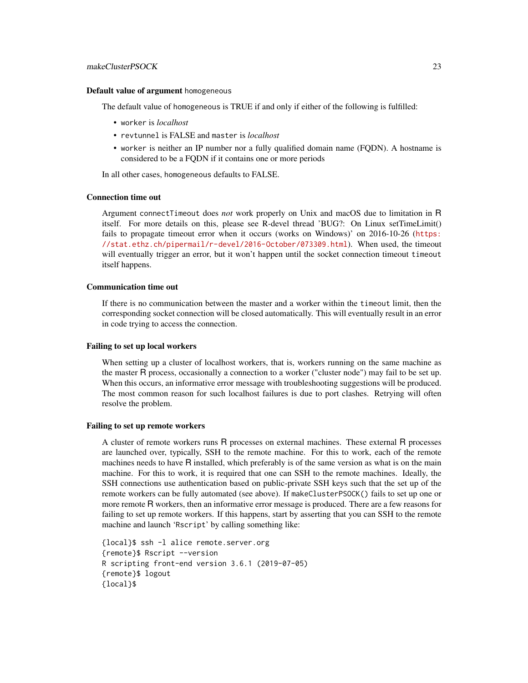# makeClusterPSOCK 23

#### Default value of argument homogeneous

The default value of homogeneous is TRUE if and only if either of the following is fulfilled:

- worker is *localhost*
- revtunnel is FALSE and master is *localhost*
- worker is neither an IP number nor a fully qualified domain name (FQDN). A hostname is considered to be a FQDN if it contains one or more periods

In all other cases, homogeneous defaults to FALSE.

#### Connection time out

Argument connectTimeout does *not* work properly on Unix and macOS due to limitation in R itself. For more details on this, please see R-devel thread 'BUG?: On Linux setTimeLimit() fails to propagate timeout error when it occurs (works on Windows)' on 2016-10-26 ([https:](https://stat.ethz.ch/pipermail/r-devel/2016-October/073309.html) [//stat.ethz.ch/pipermail/r-devel/2016-October/073309.html](https://stat.ethz.ch/pipermail/r-devel/2016-October/073309.html)). When used, the timeout will eventually trigger an error, but it won't happen until the socket connection timeout timeout itself happens.

# Communication time out

If there is no communication between the master and a worker within the timeout limit, then the corresponding socket connection will be closed automatically. This will eventually result in an error in code trying to access the connection.

#### Failing to set up local workers

When setting up a cluster of localhost workers, that is, workers running on the same machine as the master R process, occasionally a connection to a worker ("cluster node") may fail to be set up. When this occurs, an informative error message with troubleshooting suggestions will be produced. The most common reason for such localhost failures is due to port clashes. Retrying will often resolve the problem.

#### Failing to set up remote workers

A cluster of remote workers runs R processes on external machines. These external R processes are launched over, typically, SSH to the remote machine. For this to work, each of the remote machines needs to have R installed, which preferably is of the same version as what is on the main machine. For this to work, it is required that one can SSH to the remote machines. Ideally, the SSH connections use authentication based on public-private SSH keys such that the set up of the remote workers can be fully automated (see above). If makeClusterPSOCK() fails to set up one or more remote R workers, then an informative error message is produced. There are a few reasons for failing to set up remote workers. If this happens, start by asserting that you can SSH to the remote machine and launch 'Rscript' by calling something like:

{local}\$ ssh -l alice remote.server.org {remote}\$ Rscript --version R scripting front-end version 3.6.1 (2019-07-05) {remote}\$ logout {local}\$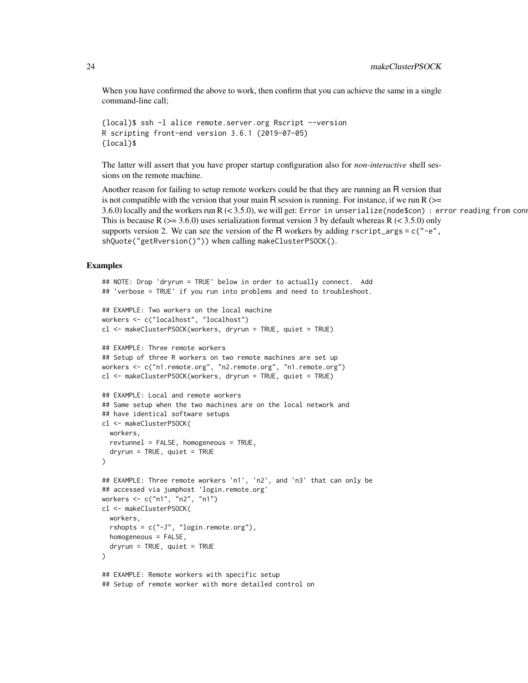When you have confirmed the above to work, then confirm that you can achieve the same in a single command-line call;

```
{local}$ ssh -l alice remote.server.org Rscript --version
R scripting front-end version 3.6.1 (2019-07-05)
{local}$
```
The latter will assert that you have proper startup configuration also for *non-interactive* shell sessions on the remote machine.

Another reason for failing to setup remote workers could be that they are running an R version that is not compatible with the version that your main R session is running. For instance, if we run R ( $>=$ 3.6.0) locally and the workers run  $R \le 3.5.0$ , we will get: Error in unserialize(node\$con) : error reading from con This is because R ( $>= 3.6.0$ ) uses serialization format version 3 by default whereas R ( $< 3.5.0$ ) only supports version 2. We can see the version of the R workers by adding  $r$ script\_args = c("-e", shQuote("getRversion()")) when calling makeClusterPSOCK().

# Examples

```
## NOTE: Drop 'dryrun = TRUE' below in order to actually connect. Add
## 'verbose = TRUE' if you run into problems and need to troubleshoot.
## EXAMPLE: Two workers on the local machine
workers <- c("localhost", "localhost")
cl <- makeClusterPSOCK(workers, dryrun = TRUE, quiet = TRUE)
## EXAMPLE: Three remote workers
## Setup of three R workers on two remote machines are set up
workers <- c("n1.remote.org", "n2.remote.org", "n1.remote.org")
cl <- makeClusterPSOCK(workers, dryrun = TRUE, quiet = TRUE)
## EXAMPLE: Local and remote workers
## Same setup when the two machines are on the local network and
## have identical software setups
cl <- makeClusterPSOCK(
  workers,
  revtunnel = FALSE, homogeneous = TRUE,
  dryrun = TRUE, quiet = TRUE)
## EXAMPLE: Three remote workers 'n1', 'n2', and 'n3' that can only be
## accessed via jumphost 'login.remote.org'
workers <- c("n1", "n2", "n1")
cl <- makeClusterPSOCK(
  workers,
  rshopts = c("-J", "login.remote.org"),
  homogeneous = FALSE,
  dryrun = TRUE, quiet = TRUE)
## EXAMPLE: Remote workers with specific setup
## Setup of remote worker with more detailed control on
```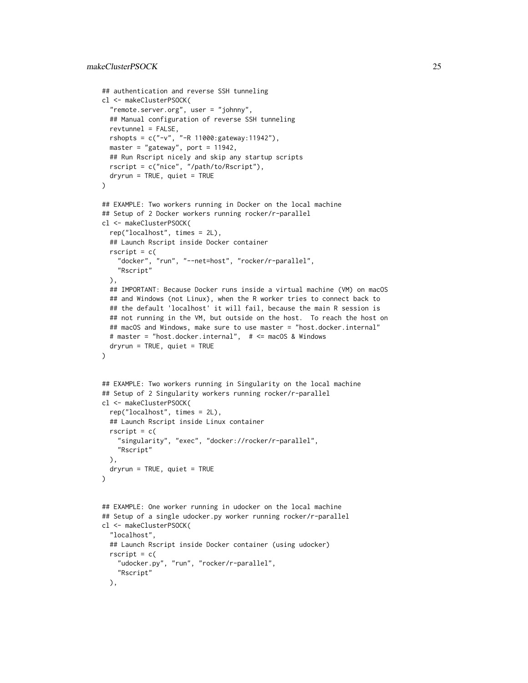# makeClusterPSOCK 25

```
## authentication and reverse SSH tunneling
cl <- makeClusterPSOCK(
  "remote.server.org", user = "johnny",
 ## Manual configuration of reverse SSH tunneling
 revtunnel = FALSE,
 rshopts = c("-v", "-R 11000:gateway:11942"),
 master = "gateway", port = 11942,
 ## Run Rscript nicely and skip any startup scripts
 rscript = c("nice", "/path/to/Rscript"),
 dryrun = TRUE, quiet = TRUE
)
## EXAMPLE: Two workers running in Docker on the local machine
## Setup of 2 Docker workers running rocker/r-parallel
cl <- makeClusterPSOCK(
 rep("localhost", times = 2L),
 ## Launch Rscript inside Docker container
 rscript = c("docker", "run", "--net=host", "rocker/r-parallel",
    "Rscript"
 ),
 ## IMPORTANT: Because Docker runs inside a virtual machine (VM) on macOS
 ## and Windows (not Linux), when the R worker tries to connect back to
 ## the default 'localhost' it will fail, because the main R session is
 ## not running in the VM, but outside on the host. To reach the host on
 ## macOS and Windows, make sure to use master = "host.docker.internal"
 # master = "host.docker.internal", # <= macOS & Windows
 dryrun = TRUE, quiet = TRUE
)
## EXAMPLE: Two workers running in Singularity on the local machine
## Setup of 2 Singularity workers running rocker/r-parallel
cl <- makeClusterPSOCK(
 rep("localhost", times = 2L),
 ## Launch Rscript inside Linux container
 rscript = c("singularity", "exec", "docker://rocker/r-parallel",
    "Rscript"
 ),
 dryrun = TRUE, quite = TRUE)
## EXAMPLE: One worker running in udocker on the local machine
## Setup of a single udocker.py worker running rocker/r-parallel
cl <- makeClusterPSOCK(
  "localhost",
 ## Launch Rscript inside Docker container (using udocker)
 rscript = c("udocker.py", "run", "rocker/r-parallel",
    "Rscript"
 ),
```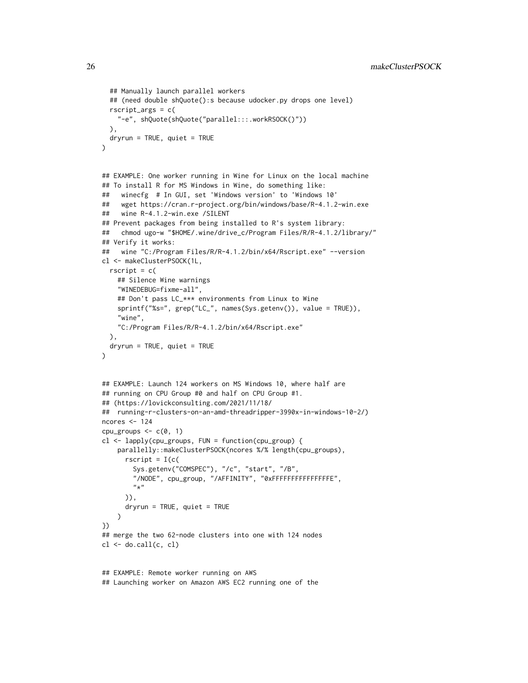```
## Manually launch parallel workers
  ## (need double shQuote():s because udocker.py drops one level)
  rscript_args = c(
    "-e", shQuote(shQuote("parallel:::.workRSOCK()"))
  ),
  dryrun = TRUE, quiet = TRUE)
## EXAMPLE: One worker running in Wine for Linux on the local machine
## To install R for MS Windows in Wine, do something like:
## winecfg # In GUI, set 'Windows version' to 'Windows 10'
## wget https://cran.r-project.org/bin/windows/base/R-4.1.2-win.exe
## wine R-4.1.2-win.exe /SILENT
## Prevent packages from being installed to R's system library:
## chmod ugo-w "$HOME/.wine/drive_c/Program Files/R/R-4.1.2/library/"
## Verify it works:
## wine "C:/Program Files/R/R-4.1.2/bin/x64/Rscript.exe" --version
cl <- makeClusterPSOCK(1L,
  rscript = c(## Silence Wine warnings
    "WINEDEBUG=fixme-all",
    ## Don't pass LC_*** environments from Linux to Wine
    sprintf("%s=", grep("LC_", names(Sys.getenv()), value = TRUE)),
    "wine",
    "C:/Program Files/R/R-4.1.2/bin/x64/Rscript.exe"
  ),
  dryrun = TRUE, quiet = TRUE)
## EXAMPLE: Launch 124 workers on MS Windows 10, where half are
## running on CPU Group #0 and half on CPU Group #1.
## (https://lovickconsulting.com/2021/11/18/
## running-r-clusters-on-an-amd-threadripper-3990x-in-windows-10-2/)
ncores <-124cpu_groups \leq c(0, 1)
cl <- lapply(cpu_groups, FUN = function(cpu_group) {
    parallelly::makeClusterPSOCK(ncores %/% length(cpu_groups),
      rscript = I(c(Sys.getenv("COMSPEC"), "/c", "start", "/B",
        "/NODE", cpu_group, "/AFFINITY", "0xFFFFFFFFFFFFFFFE",
        "*")),
      dryrun = TRUE, quiet = TRUE\lambda})
## merge the two 62-node clusters into one with 124 nodes
cl \leftarrow do.call(c, cl)
```

```
## EXAMPLE: Remote worker running on AWS
## Launching worker on Amazon AWS EC2 running one of the
```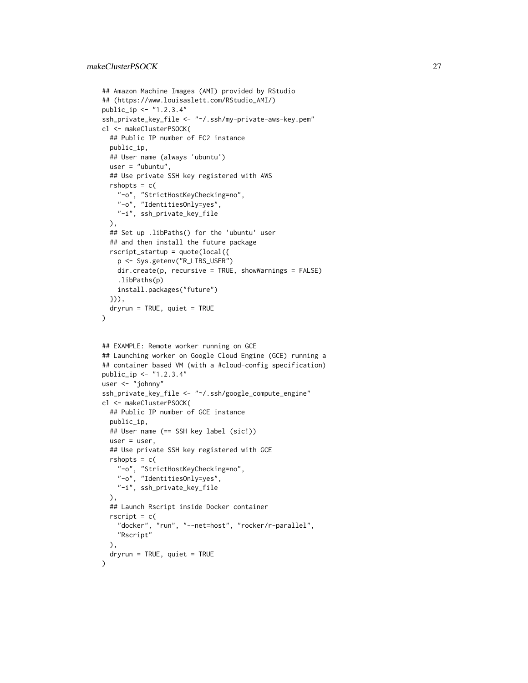```
## Amazon Machine Images (AMI) provided by RStudio
## (https://www.louisaslett.com/RStudio_AMI/)
public_ip <- "1.2.3.4"
ssh_private_key_file <- "~/.ssh/my-private-aws-key.pem"
cl <- makeClusterPSOCK(
 ## Public IP number of EC2 instance
 public_ip,
 ## User name (always 'ubuntu')
 user = "ubuntu",
 ## Use private SSH key registered with AWS
 rshopts = c("-o", "StrictHostKeyChecking=no",
    "-o", "IdentitiesOnly=yes",
    "-i", ssh_private_key_file
 ),
 ## Set up .libPaths() for the 'ubuntu' user
 ## and then install the future package
 rscript_startup = quote(local({
   p <- Sys.getenv("R_LIBS_USER")
   dir.create(p, recursive = TRUE, showWarnings = FALSE)
    .libPaths(p)
   install.packages("future")
 })),
 dryrun = TRUE, quiet = TRUE
\mathcal{L}## EXAMPLE: Remote worker running on GCE
## Launching worker on Google Cloud Engine (GCE) running a
## container based VM (with a #cloud-config specification)
public_ip <- "1.2.3.4"
user <- "johnny"
ssh_private_key_file <- "~/.ssh/google_compute_engine"
cl <- makeClusterPSOCK(
 ## Public IP number of GCE instance
 public_ip,
 ## User name (== SSH key label (sic!))
 user = user,
 ## Use private SSH key registered with GCE
 rshopts = c("-o", "StrictHostKeyChecking=no",
   "-o", "IdentitiesOnly=yes",
    "-i", ssh_private_key_file
 ),
 ## Launch Rscript inside Docker container
 rscript = c("docker", "run", "--net=host", "rocker/r-parallel",
   "Rscript"
 ),
 dryrun = TRUE, quiet = TRUE\lambda
```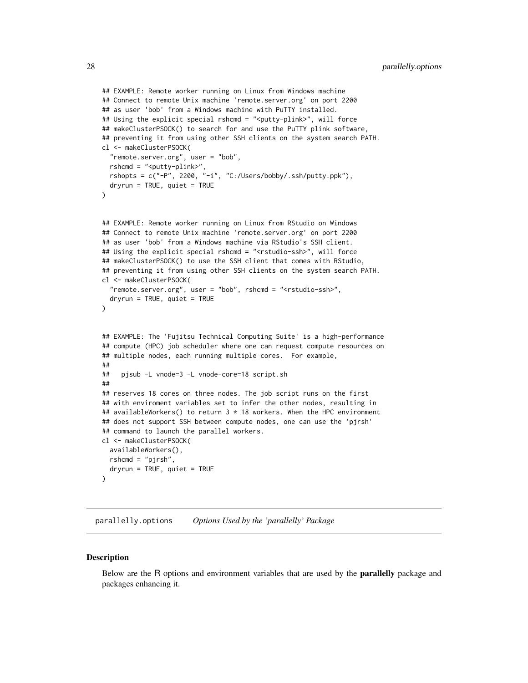```
## EXAMPLE: Remote worker running on Linux from Windows machine
## Connect to remote Unix machine 'remote.server.org' on port 2200
## as user 'bob' from a Windows machine with PuTTY installed.
## Using the explicit special rshcmd = "<putty-plink>", will force
## makeClusterPSOCK() to search for and use the PuTTY plink software,
## preventing it from using other SSH clients on the system search PATH.
cl <- makeClusterPSOCK(
  "remote.server.org", user = "bob",
 rshcmd = "<putty-plink>",
 rshopts = c("-P", 2200, "-i", "C://Users/bobby/.ssh/putty.phpk"),dryrun = TRUE, quiet = TRUE
\mathcal{L}## EXAMPLE: Remote worker running on Linux from RStudio on Windows
## Connect to remote Unix machine 'remote.server.org' on port 2200
## as user 'bob' from a Windows machine via RStudio's SSH client.
## Using the explicit special rshcmd = "<rstudio-ssh>", will force
## makeClusterPSOCK() to use the SSH client that comes with RStudio,
## preventing it from using other SSH clients on the system search PATH.
cl <- makeClusterPSOCK(
  "remote.server.org", user = "bob", rshcmd = "<rstudio-ssh>",
 dryrun = TRUE, quiet = TRUE
\mathcal{L}## EXAMPLE: The 'Fujitsu Technical Computing Suite' is a high-performance
## compute (HPC) job scheduler where one can request compute resources on
## multiple nodes, each running multiple cores. For example,
##
## pjsub -L vnode=3 -L vnode-core=18 script.sh
##
## reserves 18 cores on three nodes. The job script runs on the first
## with enviroment variables set to infer the other nodes, resulting in
## availableWorkers() to return 3 * 18 workers. When the HPC environment
## does not support SSH between compute nodes, one can use the 'pjrsh'
## command to launch the parallel workers.
cl <- makeClusterPSOCK(
 availableWorkers(),
 rshcmd = "pjrsh",
 dryrun = TRUE, quite = TRUE)
```
<span id="page-27-1"></span>parallelly.options *Options Used by the 'parallelly' Package*

#### **Description**

Below are the R options and environment variables that are used by the parallelly package and packages enhancing it.

<span id="page-27-0"></span>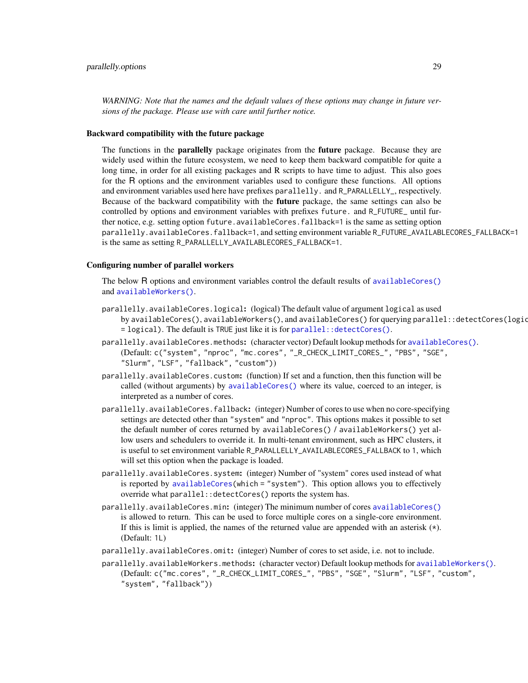<span id="page-28-0"></span>*WARNING: Note that the names and the default values of these options may change in future versions of the package. Please use with care until further notice.*

## Backward compatibility with the future package

The functions in the **parallelly** package originates from the **future** package. Because they are widely used within the future ecosystem, we need to keep them backward compatible for quite a long time, in order for all existing packages and R scripts to have time to adjust. This also goes for the R options and the environment variables used to configure these functions. All options and environment variables used here have prefixes parallelly. and R\_PARALLELLY\_, respectively. Because of the backward compatibility with the **future** package, the same settings can also be controlled by options and environment variables with prefixes future. and R\_FUTURE\_ until further notice, e.g. setting option future.availableCores.fallback=1 is the same as setting option parallelly.availableCores.fallback=1, and setting environment variable R\_FUTURE\_AVAILABLECORES\_FALLBACK=1 is the same as setting R\_PARALLELLY\_AVAILABLECORES\_FALLBACK=1.

# Configuring number of parallel workers

The below R options and environment variables control the default results of [availableCores\(\)](#page-4-1) and [availableWorkers\(\)](#page-7-1).

- parallelly.availableCores.logical: (logical) The default value of argument logical as used by availableCores(), availableWorkers(), and availableCores() for querying parallel::detectCores(logic  $=$  logical). The default is TRUE just like it is for [parallel::detectCores\(\)](#page-0-0).
- parallelly.availableCores.methods: (character vector) Default lookup methods for [availableCores\(\)](#page-4-1). (Default: c("system", "nproc", "mc.cores", "\_R\_CHECK\_LIMIT\_CORES\_", "PBS", "SGE", "Slurm", "LSF", "fallback", "custom"))
- parallelly.availableCores.custom: (function) If set and a function, then this function will be called (without arguments) by [availableCores\(\)](#page-4-1) where its value, coerced to an integer, is interpreted as a number of cores.
- parallelly.availableCores.fallback: (integer) Number of cores to use when no core-specifying settings are detected other than "system" and "nproc". This options makes it possible to set the default number of cores returned by availableCores() / availableWorkers() yet allow users and schedulers to override it. In multi-tenant environment, such as HPC clusters, it is useful to set environment variable R\_PARALLELLY\_AVAILABLECORES\_FALLBACK to 1, which will set this option when the package is loaded.
- parallelly.availableCores.system: (integer) Number of "system" cores used instead of what is reported by [availableCores\(](#page-4-1)which = "system"). This option allows you to effectively override what parallel::detectCores() reports the system has.
- parallelly.availableCores.min: (integer) The minimum number of cores [availableCores\(\)](#page-4-1) is allowed to return. This can be used to force multiple cores on a single-core environment. If this is limit is applied, the names of the returned value are appended with an asterisk  $(\star)$ . (Default: 1L)
- parallelly.availableCores.omit: (integer) Number of cores to set aside, i.e. not to include.
- parallelly.availableWorkers.methods: (character vector) Default lookup methods for [availableWorkers\(\)](#page-7-1). (Default: c("mc.cores", "\_R\_CHECK\_LIMIT\_CORES\_", "PBS", "SGE", "Slurm", "LSF", "custom", "system", "fallback"))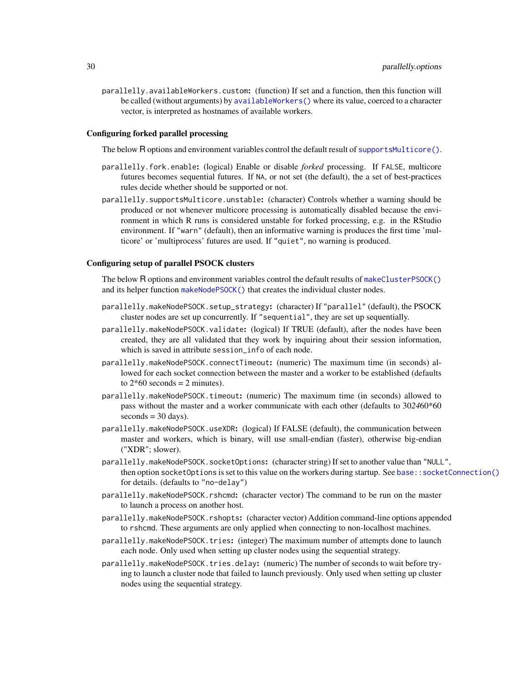<span id="page-29-0"></span>parallelly.availableWorkers.custom: (function) If set and a function, then this function will be called (without arguments) by [availableWorkers\(\)](#page-7-1) where its value, coerced to a character vector, is interpreted as hostnames of available workers.

## Configuring forked parallel processing

The below R options and environment variables control the default result of [supportsMulticore\(\)](#page-30-1).

- parallelly.fork.enable: (logical) Enable or disable *forked* processing. If FALSE, multicore futures becomes sequential futures. If NA, or not set (the default), the a set of best-practices rules decide whether should be supported or not.
- parallelly.supportsMulticore.unstable: (character) Controls whether a warning should be produced or not whenever multicore processing is automatically disabled because the environment in which R runs is considered unstable for forked processing, e.g. in the RStudio environment. If "warn" (default), then an informative warning is produces the first time 'multicore' or 'multiprocess' futures are used. If "quiet", no warning is produced.

# Configuring setup of parallel PSOCK clusters

The below R options and environment variables control the default results of [makeClusterPSOCK\(\)](#page-16-1) and its helper function [makeNodePSOCK\(\)](#page-16-2) that creates the individual cluster nodes.

- parallelly.makeNodePSOCK.setup\_strategy: (character) If "parallel" (default), the PSOCK cluster nodes are set up concurrently. If "sequential", they are set up sequentially.
- parallelly.makeNodePSOCK.validate: (logical) If TRUE (default), after the nodes have been created, they are all validated that they work by inquiring about their session information, which is saved in attribute session\_info of each node.
- parallelly.makeNodePSOCK.connectTimeout: (numeric) The maximum time (in seconds) allowed for each socket connection between the master and a worker to be established (defaults to  $2*60$  seconds = 2 minutes).
- parallelly.makeNodePSOCK.timeout: (numeric) The maximum time (in seconds) allowed to pass without the master and a worker communicate with each other (defaults to 30*24*60\*60  $seconds = 30 \text{ days}.$
- parallelly.makeNodePSOCK.useXDR: (logical) If FALSE (default), the communication between master and workers, which is binary, will use small-endian (faster), otherwise big-endian ("XDR"; slower).
- $parallel$   $\mathsf{p}$  . makeNodePSOCK.socketOptions: (character string) If set to another value than "NULL", then option socketOptions is set to this value on the workers during startup. See [base::socketConnection\(\)](#page-0-0) for details. (defaults to "no-delay")
- parallelly.makeNodePSOCK.rshcmd: (character vector) The command to be run on the master to launch a process on another host.
- parallelly.makeNodePSOCK.rshopts: (character vector) Addition command-line options appended to rshcmd. These arguments are only applied when connecting to non-localhost machines.
- parallelly.makeNodePSOCK.tries: (integer) The maximum number of attempts done to launch each node. Only used when setting up cluster nodes using the sequential strategy.
- parallelly.makeNodePSOCK.tries.delay: (numeric) The number of seconds to wait before trying to launch a cluster node that failed to launch previously. Only used when setting up cluster nodes using the sequential strategy.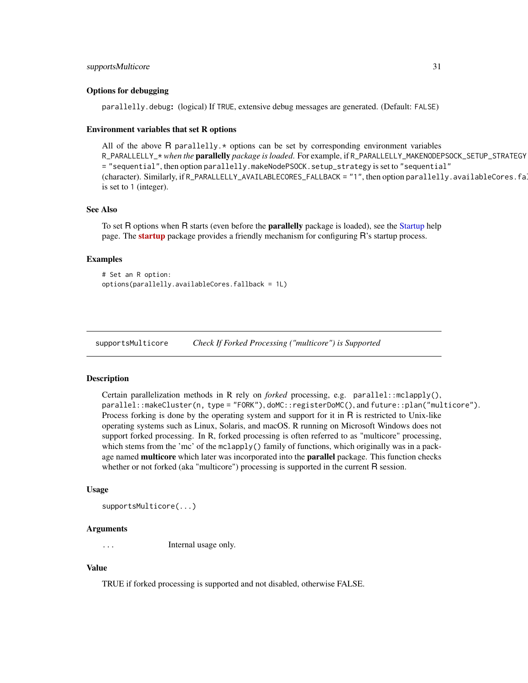#### <span id="page-30-0"></span>Options for debugging

parallelly.debug: (logical) If TRUE, extensive debug messages are generated. (Default: FALSE)

#### Environment variables that set R options

All of the above  $R$  parallelly. $*$  options can be set by corresponding environment variables R\_PARALLELLY\_\* *when the* parallelly *package is loaded*. For example, if R\_PARALLELLY\_MAKENODEPSOCK\_SETUP\_STRATEGY = "sequential", then option parallelly.makeNodePSOCK.setup\_strategy is set to "sequential" (character). Similarly, if R\_PARALLELLY\_AVAILABLECORES\_FALLBACK = "1", then option parallelly.availableCores.fa is set to 1 (integer).

# See Also

To set R options when R starts (even before the **parallelly** package is loaded), see the [Startup](#page-0-0) help page. The **[startup](https://cran.r-project.org/package=startup)** package provides a friendly mechanism for configuring R's startup process.

#### Examples

```
# Set an R option:
options(parallelly.availableCores.fallback = 1L)
```
<span id="page-30-1"></span>supportsMulticore *Check If Forked Processing ("multicore") is Supported*

#### Description

Certain parallelization methods in R rely on *forked* processing, e.g. parallel::mclapply(), parallel::makeCluster(n, type = "FORK"), doMC::registerDoMC(), and future::plan("multicore"). Process forking is done by the operating system and support for it in R is restricted to Unix-like operating systems such as Linux, Solaris, and macOS. R running on Microsoft Windows does not support forked processing. In R, forked processing is often referred to as "multicore" processing, which stems from the 'mc' of the mclapply() family of functions, which originally was in a package named multicore which later was incorporated into the parallel package. This function checks whether or not forked (aka "multicore") processing is supported in the current R session.

#### Usage

supportsMulticore(...)

#### Arguments

... Internal usage only.

# Value

TRUE if forked processing is supported and not disabled, otherwise FALSE.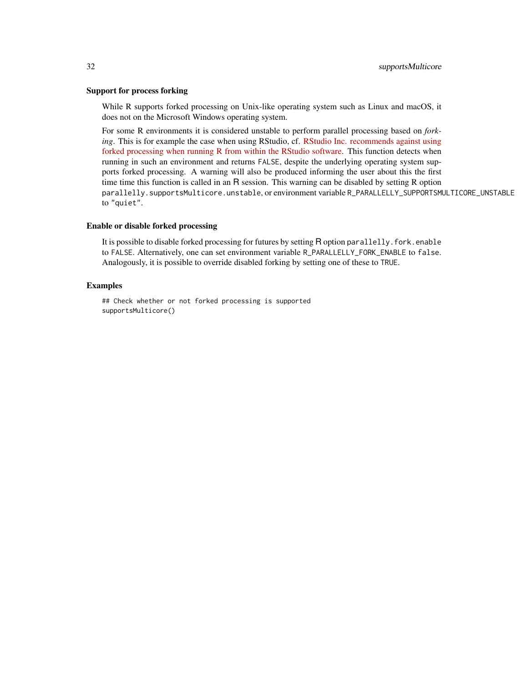# Support for process forking

While R supports forked processing on Unix-like operating system such as Linux and macOS, it does not on the Microsoft Windows operating system.

For some R environments it is considered unstable to perform parallel processing based on *forking*. This is for example the case when using RStudio, cf. [RStudio Inc. recommends against using](https://github.com/rstudio/rstudio/issues/2597#issuecomment-482187011) [forked processing when running R from within the RStudio software.](https://github.com/rstudio/rstudio/issues/2597#issuecomment-482187011) This function detects when running in such an environment and returns FALSE, despite the underlying operating system supports forked processing. A warning will also be produced informing the user about this the first time time this function is called in an R session. This warning can be disabled by setting R option parallelly.supportsMulticore.unstable, or environment variable R\_PARALLELLY\_SUPPORTSMULTICORE\_UNSTABLE to "quiet".

# Enable or disable forked processing

It is possible to disable forked processing for futures by setting R option parallelly. fork.enable to FALSE. Alternatively, one can set environment variable R\_PARALLELLY\_FORK\_ENABLE to false. Analogously, it is possible to override disabled forking by setting one of these to TRUE.

# Examples

## Check whether or not forked processing is supported supportsMulticore()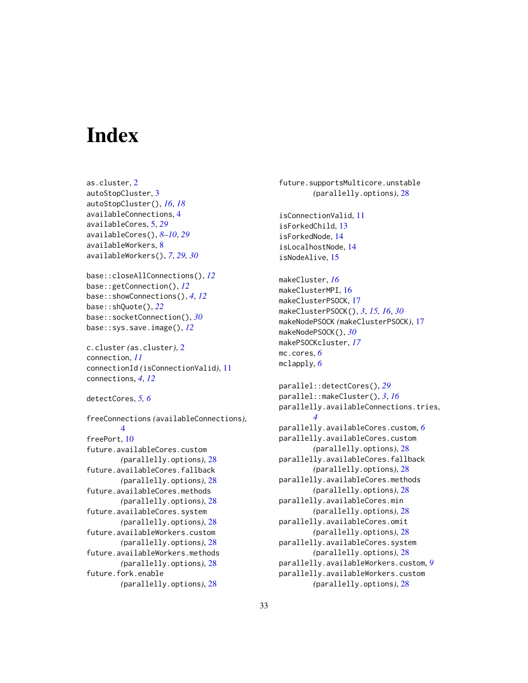# <span id="page-32-0"></span>**Index**

```
as.cluster, 2
autoStopCluster, 3
autoStopCluster(), 16, 18
availableConnections, 4
availableCores, 5, 29
availableCores(), 8–10, 29
availableWorkers, 8
availableWorkers(), 7, 29, 30
base::closeAllConnections(), 12
base::getConnection(), 12
base::showConnections(), 4, 12
base::shQuote(), 22
base::socketConnection(), 30
base::sys.save.image(), 12
c.cluster (as.cluster), 2
connection, 11
connectionId (isConnectionValid), 11
connections, 4, 12
detectCores, 5, 6
freeConnections (availableConnections),
        4
freePort, 10
future.availableCores.custom
        (parallelly.options), 28
future.availableCores.fallback
        (parallelly.options), 28
future.availableCores.methods
        (parallelly.options), 28
future.availableCores.system
        (parallelly.options), 28
future.availableWorkers.custom
        (parallelly.options), 28
future.availableWorkers.methods
        (parallelly.options), 28
future.fork.enable
        (parallelly.options), 28
```
future.supportsMulticore.unstable *(*parallelly.options*)*, [28](#page-27-0) isConnectionValid, [11](#page-10-0) isForkedChild, [13](#page-12-0) isForkedNode, [14](#page-13-0) isLocalhostNode, [14](#page-13-0) isNodeAlive, [15](#page-14-0) makeCluster, *[16](#page-15-0)* makeClusterMPI, [16](#page-15-0) makeClusterPSOCK, [17](#page-16-0) makeClusterPSOCK(), *[3](#page-2-0)*, *[15,](#page-14-0) [16](#page-15-0)*, *[30](#page-29-0)* makeNodePSOCK *(*makeClusterPSOCK*)*, [17](#page-16-0) makeNodePSOCK(), *[30](#page-29-0)* makePSOCKcluster, *[17](#page-16-0)* mc.cores, *[6](#page-5-0)* mclapply, *[6](#page-5-0)* parallel::detectCores(), *[29](#page-28-0)* parallel::makeCluster(), *[3](#page-2-0)*, *[16](#page-15-0)* parallelly.availableConnections.tries, *[4](#page-3-0)* parallelly.availableCores.custom, *[6](#page-5-0)* parallelly.availableCores.custom *(*parallelly.options*)*, [28](#page-27-0) parallelly.availableCores.fallback *(*parallelly.options*)*, [28](#page-27-0) parallelly.availableCores.methods *(*parallelly.options*)*, [28](#page-27-0) parallelly.availableCores.min *(*parallelly.options*)*, [28](#page-27-0) parallelly.availableCores.omit *(*parallelly.options*)*, [28](#page-27-0) parallelly.availableCores.system *(*parallelly.options*)*, [28](#page-27-0) parallelly.availableWorkers.custom, *[9](#page-8-0)* parallelly.availableWorkers.custom *(*parallelly.options*)*, [28](#page-27-0)